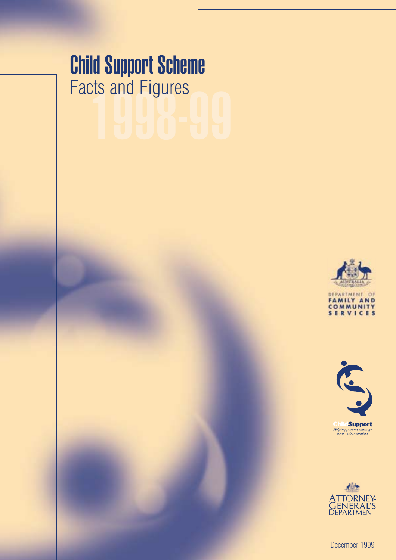# $\frac{215}{9}$  and Figures<br> $\begin{bmatrix} 1 & 0 \\ 0 & 1 \end{bmatrix}$ Child Support Scheme Facts and Figures







December 1999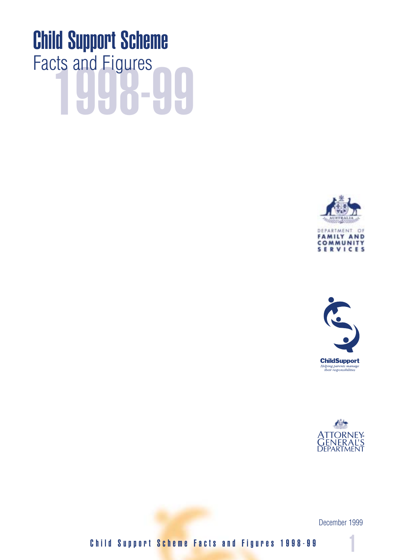# <u>48-44</u> Child Support Scheme Facts and Figures







December 1999

Child Support Scheme Facts and Figures 1998-99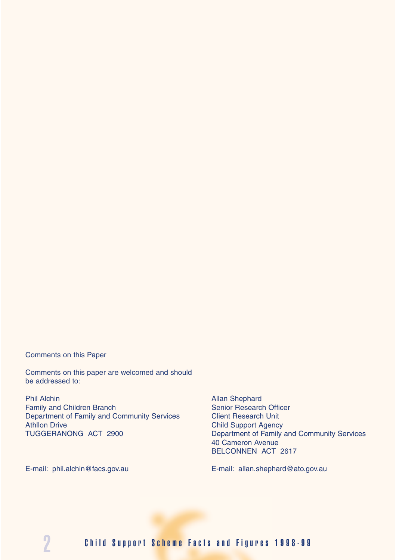Comments on this Paper

Comments on this paper are welcomed and should be addressed to:

Phil Alchin Allan Shephard Family and Children Branch Senior Research Officer Department of Family and Community Services Client Research Unit Athllon Drive Child Support Agency<br>
TUGGERANONG ACT 2900 Child Support Agency<br>
Department of Family and Department of Family

Department of Family and Community Services 40 Cameron Avenue BELCONNEN ACT 2617

E-mail: phil.alchin@facs.gov.au E-mail: allan.shephard@ato.gov.au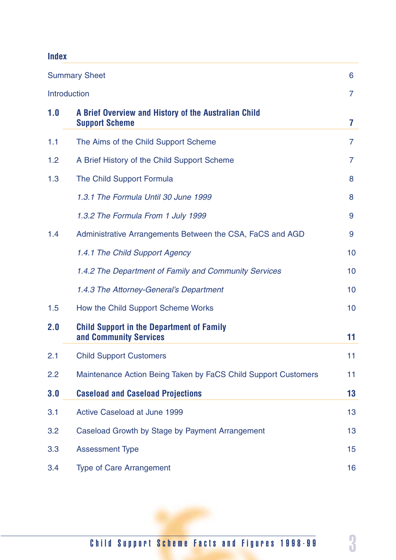# **Index**

|     | <b>Summary Sheet</b>                                                          | 6              |
|-----|-------------------------------------------------------------------------------|----------------|
|     | <b>Introduction</b>                                                           | $\overline{7}$ |
| 1.0 | A Brief Overview and History of the Australian Child<br><b>Support Scheme</b> | 7              |
| 1.1 | The Aims of the Child Support Scheme                                          | $\overline{7}$ |
| 1.2 | A Brief History of the Child Support Scheme                                   | 7              |
| 1.3 | The Child Support Formula                                                     | 8              |
|     | 1.3.1 The Formula Until 30 June 1999                                          | 8              |
|     | 1.3.2 The Formula From 1 July 1999                                            | 9              |
| 1.4 | Administrative Arrangements Between the CSA, FaCS and AGD                     | 9              |
|     | 1.4.1 The Child Support Agency                                                | 10             |
|     | 1.4.2 The Department of Family and Community Services                         | 10             |
|     | 1.4.3 The Attorney-General's Department                                       | 10             |
| 1.5 | How the Child Support Scheme Works                                            | 10             |
| 2.0 | <b>Child Support in the Department of Family</b><br>and Community Services    | 11             |
| 2.1 | <b>Child Support Customers</b>                                                | 11             |
| 2.2 | Maintenance Action Being Taken by FaCS Child Support Customers                | 11             |
| 3.0 | <b>Caseload and Caseload Projections</b>                                      | 13             |
| 3.1 | Active Caseload at June 1999                                                  | 13             |
| 3.2 | Caseload Growth by Stage by Payment Arrangement                               | 13             |
| 3.3 | <b>Assessment Type</b>                                                        | 15             |
| 3.4 | <b>Type of Care Arrangement</b>                                               | 16             |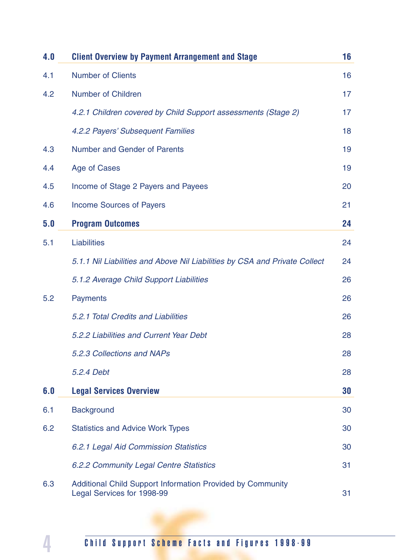| 4.0 | <b>Client Overview by Payment Arrangement and Stage</b>                                         | 16 |
|-----|-------------------------------------------------------------------------------------------------|----|
| 4.1 | <b>Number of Clients</b>                                                                        | 16 |
| 4.2 | <b>Number of Children</b>                                                                       | 17 |
|     | 4.2.1 Children covered by Child Support assessments (Stage 2)                                   | 17 |
|     | 4.2.2 Payers' Subsequent Families                                                               | 18 |
| 4.3 | <b>Number and Gender of Parents</b>                                                             | 19 |
| 4.4 | Age of Cases                                                                                    | 19 |
| 4.5 | Income of Stage 2 Payers and Payees                                                             | 20 |
| 4.6 | <b>Income Sources of Payers</b>                                                                 | 21 |
| 5.0 | <b>Program Outcomes</b>                                                                         | 24 |
| 5.1 | <b>Liabilities</b>                                                                              | 24 |
|     | 5.1.1 Nil Liabilities and Above Nil Liabilities by CSA and Private Collect                      | 24 |
|     | 5.1.2 Average Child Support Liabilities                                                         | 26 |
| 5.2 | <b>Payments</b>                                                                                 | 26 |
|     | 5.2.1 Total Credits and Liabilities                                                             | 26 |
|     | 5.2.2 Liabilities and Current Year Debt                                                         | 28 |
|     | 5.2.3 Collections and NAPs                                                                      | 28 |
|     | 5.2.4 Debt                                                                                      | 28 |
| 6.0 | <b>Legal Services Overview</b>                                                                  | 30 |
| 6.1 | <b>Background</b>                                                                               | 30 |
| 6.2 | <b>Statistics and Advice Work Types</b>                                                         | 30 |
|     | 6.2.1 Legal Aid Commission Statistics                                                           | 30 |
|     | 6.2.2 Community Legal Centre Statistics                                                         | 31 |
| 6.3 | <b>Additional Child Support Information Provided by Community</b><br>Legal Services for 1998-99 | 31 |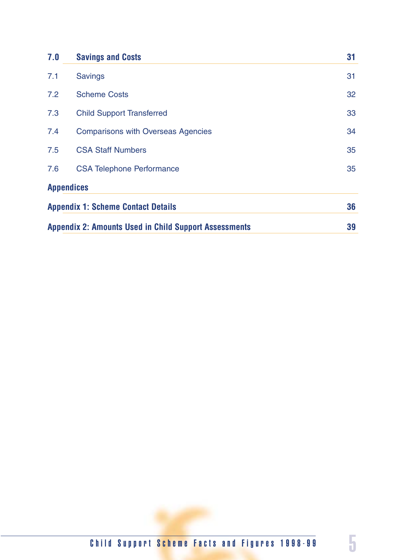| 7.0 | <b>Savings and Costs</b>                                     | 31 |
|-----|--------------------------------------------------------------|----|
| 7.1 | <b>Savings</b>                                               | 31 |
| 7.2 | <b>Scheme Costs</b>                                          | 32 |
| 7.3 | <b>Child Support Transferred</b>                             | 33 |
| 7.4 | <b>Comparisons with Overseas Agencies</b>                    | 34 |
| 7.5 | <b>CSA Staff Numbers</b>                                     | 35 |
| 7.6 | <b>CSA Telephone Performance</b>                             | 35 |
|     | <b>Appendices</b>                                            |    |
|     | <b>Appendix 1: Scheme Contact Details</b>                    | 36 |
|     | <b>Appendix 2: Amounts Used in Child Support Assessments</b> | 39 |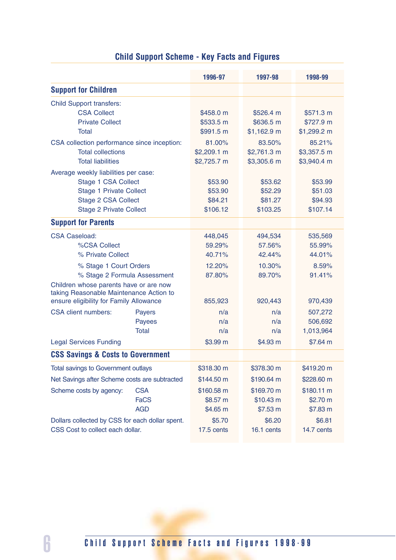|                                                 |                 | 1996-97              | 1997-98      | 1998-99              |
|-------------------------------------------------|-----------------|----------------------|--------------|----------------------|
| <b>Support for Children</b>                     |                 |                      |              |                      |
| <b>Child Support transfers:</b>                 |                 |                      |              |                      |
| <b>CSA Collect</b>                              |                 | \$458.0 m            | \$526.4 m    | \$571.3 m            |
| <b>Private Collect</b>                          |                 | \$533.5 m            | \$636.5 m    | \$727.9 m            |
| Total                                           |                 | \$991.5 m            | $$1,162.9$ m | $$1,299.2 \text{ m}$ |
| CSA collection performance since inception:     |                 | 81.00%               | 83.50%       | 85.21%               |
| <b>Total collections</b>                        |                 | $$2,209.1 \text{ m}$ | \$2,761.3 m  | \$3,357.5 m          |
| <b>Total liabilities</b>                        |                 | \$2,725.7 m          | \$3,305.6 m  | \$3,940.4 m          |
| Average weekly liabilities per case:            |                 |                      |              |                      |
| <b>Stage 1 CSA Collect</b>                      |                 | \$53.90              | \$53.62      | \$53.99              |
| <b>Stage 1 Private Collect</b>                  |                 | \$53.90              | \$52.29      | \$51.03              |
| <b>Stage 2 CSA Collect</b>                      |                 | \$84.21              | \$81.27      | \$94.93              |
| <b>Stage 2 Private Collect</b>                  |                 | \$106.12             | \$103.25     | \$107.14             |
| <b>Support for Parents</b>                      |                 |                      |              |                      |
| <b>CSA Caseload:</b>                            |                 | 448,045              | 494,534      | 535,569              |
| %CSA Collect                                    |                 | 59.29%               | 57.56%       | 55.99%               |
| % Private Collect                               |                 | 40.71%               | 42.44%       | 44.01%               |
| % Stage 1 Court Orders                          |                 | 12.20%               | 10.30%       | 8.59%                |
| % Stage 2 Formula Assessment                    |                 | 87.80%               | 89.70%       | 91.41%               |
| Children whose parents have or are now          |                 |                      |              |                      |
| taking Reasonable Maintenance Action to         |                 |                      |              |                      |
| ensure eligibility for Family Allowance         |                 | 855,923              | 920,443      | 970,439              |
| <b>CSA</b> client numbers:                      | <b>Payers</b>   | n/a                  | n/a          | 507,272              |
|                                                 | Payees<br>Total | n/a<br>n/a           | n/a<br>n/a   | 506,692<br>1,013,964 |
|                                                 |                 |                      |              |                      |
| <b>Legal Services Funding</b>                   |                 | \$3.99 m             | \$4.93 m     | \$7.64 m             |
| <b>CSS Savings &amp; Costs to Government</b>    |                 |                      |              |                      |
| <b>Total savings to Government outlays</b>      |                 | \$318.30 m           | \$378.30 m   | \$419.20 m           |
| Net Savings after Scheme costs are subtracted   |                 | \$144.50 m           | \$190.64 m   | \$228.60 m           |
| Scheme costs by agency:                         | <b>CSA</b>      | \$160.58 m           | \$169.70 m   | \$180.11 m           |
|                                                 | <b>FaCS</b>     | \$8.57 m             | \$10.43 m    | \$2.70 m             |
|                                                 | <b>AGD</b>      | \$4.65 m             | \$7.53 m     | \$7.83 m             |
| Dollars collected by CSS for each dollar spent. |                 | \$5.70               | \$6.20       | \$6.81               |
| CSS Cost to collect each dollar.                |                 | 17.5 cents           | 16.1 cents   | 14.7 cents           |

# **Child Support Scheme - Key Facts and Figures**

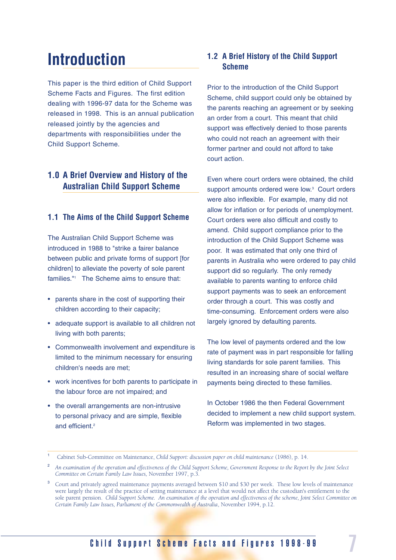# **Introduction**

This paper is the third edition of Child Support Scheme Facts and Figures. The first edition dealing with 1996-97 data for the Scheme was released in 1998. This is an annual publication released jointly by the agencies and departments with responsibilities under the Child Support Scheme.

### **1.0 A Brief Overview and History of the Australian Child Support Scheme**

#### **1.1 The Aims of the Child Support Scheme**

The Australian Child Support Scheme was introduced in 1988 to "strike a fairer balance between public and private forms of support [for children] to alleviate the poverty of sole parent families."1 The Scheme aims to ensure that:

- parents share in the cost of supporting their children according to their capacity;
- adequate support is available to all children not living with both parents;
- Commonwealth involvement and expenditure is limited to the minimum necessary for ensuring children's needs are met;
- work incentives for both parents to participate in the labour force are not impaired; and
- the overall arrangements are non-intrusive to personal privacy and are simple, flexible and efficient.<sup>2</sup>

### **1.2 A Brief History of the Child Support Scheme**

Prior to the introduction of the Child Support Scheme, child support could only be obtained by the parents reaching an agreement or by seeking an order from a court. This meant that child support was effectively denied to those parents who could not reach an agreement with their former partner and could not afford to take court action.

Even where court orders were obtained, the child support amounts ordered were low.<sup>3</sup> Court orders were also inflexible. For example, many did not allow for inflation or for periods of unemployment. Court orders were also difficult and costly to amend. Child support compliance prior to the introduction of the Child Support Scheme was poor. It was estimated that only one third of parents in Australia who were ordered to pay child support did so regularly. The only remedy available to parents wanting to enforce child support payments was to seek an enforcement order through a court. This was costly and time-consuming. Enforcement orders were also largely ignored by defaulting parents.

The low level of payments ordered and the low rate of payment was in part responsible for falling living standards for sole parent families. This resulted in an increasing share of social welfare payments being directed to these families.

In October 1986 the then Federal Government decided to implement a new child support system. Reform was implemented in two stages.

<sup>1</sup> Cabinet Sub-Committee on Maintenance, *Child Support: discussion paper on child maintenance* (1986), p. 14.

<sup>2</sup> *An examination of the operation and effectiveness of the Child Support Scheme, Government Response to the Report by the Joint Select Committee on Certain Family Law Issues,* November 1997, p.3.

<sup>3</sup> Court and privately agreed maintenance payments averaged between \$10 and \$30 per week. These low levels of maintenance were largely the result of the practice of setting maintenance at a level that would not affect the custodian's entitlement to the sole parent pension. *Child Support Scheme. An examination of the operation and effectiveness of the scheme, Joint Select Committee on Certain Family Law Issues, Parliament of the Commonwealth of Australia*, November 1994, p.12.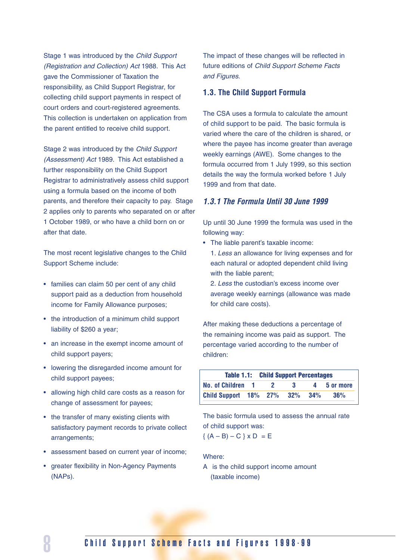Stage 1 was introduced by the Child Support (Registration and Collection) Act 1988. This Act gave the Commissioner of Taxation the responsibility, as Child Support Registrar, for collecting child support payments in respect of court orders and court-registered agreements. This collection is undertaken on application from the parent entitled to receive child support.

Stage 2 was introduced by the Child Support (Assessment) Act 1989. This Act established a further responsibility on the Child Support Registrar to administratively assess child support using a formula based on the income of both parents, and therefore their capacity to pay. Stage 2 applies only to parents who separated on or after 1 October 1989, or who have a child born on or after that date.

The most recent legislative changes to the Child Support Scheme include:

- families can claim 50 per cent of any child support paid as a deduction from household income for Family Allowance purposes;
- the introduction of a minimum child support liability of \$260 a year;
- an increase in the exempt income amount of child support payers;
- lowering the disregarded income amount for child support payees;
- allowing high child care costs as a reason for change of assessment for payees;
- the transfer of many existing clients with satisfactory payment records to private collect arrangements;
- assessment based on current year of income;
- greater flexibility in Non-Agency Payments (NAPs).

The impact of these changes will be reflected in future editions of Child Support Scheme Facts and Figures.

#### **1.3. The Child Support Formula**

The CSA uses a formula to calculate the amount of child support to be paid. The basic formula is varied where the care of the children is shared, or where the payee has income greater than average weekly earnings (AWE). Some changes to the formula occurred from 1 July 1999, so this section details the way the formula worked before 1 July 1999 and from that date.

#### *1.3.1 The Formula Until 30 June 1999*

Up until 30 June 1999 the formula was used in the following way:

- The liable parent's taxable income:
	- 1. Less an allowance for living expenses and for each natural or adopted dependent child living with the liable parent;
	- 2. Less the custodian's excess income over average weekly earnings (allowance was made for child care costs).

After making these deductions a percentage of the remaining income was paid as support. The percentage varied according to the number of children:

|                           | <b>Table 1.1: Child Support Percentages</b> |         |     |             |
|---------------------------|---------------------------------------------|---------|-----|-------------|
| No. of Children 1         | - 2                                         | - 3 - 3 |     | 4 5 or more |
| Child Support 18% 27% 32% |                                             |         | 34% | 36%         |

The basic formula used to assess the annual rate of child support was:

$$
\{ (A - B) - C \} \times D = E
$$

Where:

A is the child support income amount (taxable income)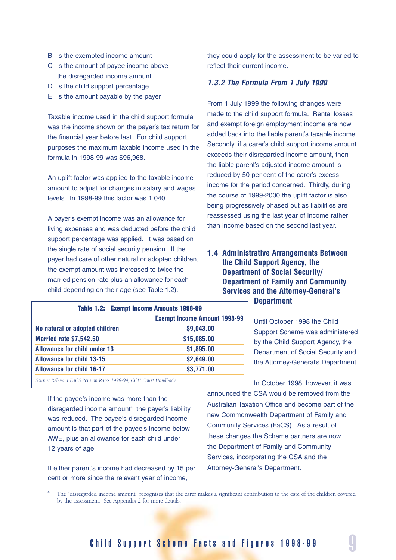- B is the exempted income amount
- C is the amount of payee income above the disregarded income amount
- D is the child support percentage
- E is the amount payable by the payer

Taxable income used in the child support formula was the income shown on the payer's tax return for the financial year before last. For child support purposes the maximum taxable income used in the formula in 1998-99 was \$96,968.

An uplift factor was applied to the taxable income amount to adjust for changes in salary and wages levels. In 1998-99 this factor was 1.040.

A payer's exempt income was an allowance for living expenses and was deducted before the child support percentage was applied. It was based on the single rate of social security pension. If the payer had care of other natural or adopted children, the exempt amount was increased to twice the married pension rate plus an allowance for each child depending on their age (see Table 1.2).

| Table 1.2: Exempt Income Amounts 1998-99 |                                     |
|------------------------------------------|-------------------------------------|
|                                          | <b>Exempt Income Amount 1998-99</b> |
| No natural or adopted children           | \$9,043.00                          |
| <b>Married rate \$7,542.50</b>           | \$15,085.00                         |
| <b>Allowance for child under 13</b>      | \$1,895.00                          |
| <b>Allowance for child 13-15</b>         | \$2,649.00                          |
| <b>Allowance for child 16-17</b>         | \$3,771.00                          |
|                                          |                                     |

*Source: Relevant FaCS Pension Rates 1998-99, CCH Court Handbook.*

If the payee's income was more than the  $disrecarded$  income amount<sup>4</sup> the payer's liability was reduced. The payee's disregarded income amount is that part of the payee's income below AWE, plus an allowance for each child under 12 years of age.

If either parent's income had decreased by 15 per cent or more since the relevant year of income,

they could apply for the assessment to be varied to reflect their current income.

#### *1.3.2 The Formula From 1 July 1999*

From 1 July 1999 the following changes were made to the child support formula. Rental losses and exempt foreign employment income are now added back into the liable parent's taxable income. Secondly, if a carer's child support income amount exceeds their disregarded income amount, then the liable parent's adjusted income amount is reduced by 50 per cent of the carer's excess income for the period concerned. Thirdly, during the course of 1999-2000 the uplift factor is also being progressively phased out as liabilities are reassessed using the last year of income rather than income based on the second last year.

#### **1.4 Administrative Arrangements Between the Child Support Agency, the Department of Social Security/ Department of Family and Community Services and the Attorney-General's Department**

Until October 1998 the Child Support Scheme was administered by the Child Support Agency, the Department of Social Security and the Attorney-General's Department.

In October 1998, however, it was announced the CSA would be removed from the Australian Taxation Office and become part of the new Commonwealth Department of Family and Community Services (FaCS). As a result of these changes the Scheme partners are now the Department of Family and Community Services, incorporating the CSA and the Attorney-General's Department.

<sup>4</sup> The "disregarded income amount" recognises that the carer makes a significant contribution to the care of the children covered by the assessment. See Appendix 2 for more details.

## Child Support Scheme Facts and Figures 1998-99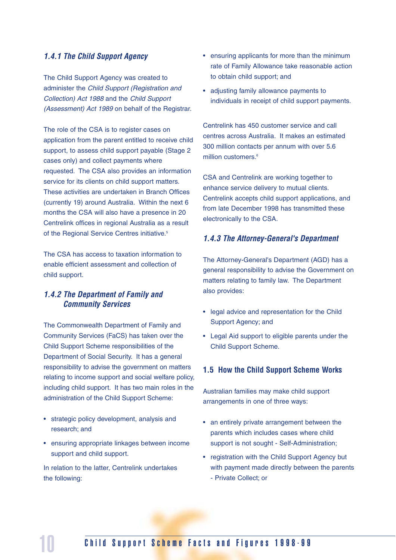#### *1.4.1 The Child Support Agency*

The Child Support Agency was created to administer the Child Support (Registration and Collection) Act 1988 and the Child Support (Assessment) Act 1989 on behalf of the Registrar.

The role of the CSA is to register cases on application from the parent entitled to receive child support, to assess child support payable (Stage 2) cases only) and collect payments where requested. The CSA also provides an information service for its clients on child support matters. These activities are undertaken in Branch Offices (currently 19) around Australia. Within the next 6 months the CSA will also have a presence in 20 Centrelink offices in regional Australia as a result of the Regional Service Centres initiative.<sup>5</sup>

The CSA has access to taxation information to enable efficient assessment and collection of child support.

#### *1.4.2 The Department of Family and Community Services*

The Commonwealth Department of Family and Community Services (FaCS) has taken over the Child Support Scheme responsibilities of the Department of Social Security. It has a general responsibility to advise the government on matters relating to income support and social welfare policy, including child support. It has two main roles in the administration of the Child Support Scheme:

- strategic policy development, analysis and research; and
- ensuring appropriate linkages between income support and child support.

In relation to the latter, Centrelink undertakes the following:

- ensuring applicants for more than the minimum rate of Family Allowance take reasonable action to obtain child support; and
- adjusting family allowance payments to individuals in receipt of child support payments.

Centrelink has 450 customer service and call centres across Australia. It makes an estimated 300 million contacts per annum with over 5.6 million customers.<sup>6</sup>

CSA and Centrelink are working together to enhance service delivery to mutual clients. Centrelink accepts child support applications, and from late December 1998 has transmitted these electronically to the CSA.

#### *1.4.3 The Attorney-General's Department*

The Attorney-General's Department (AGD) has a general responsibility to advise the Government on matters relating to family law. The Department also provides:

- legal advice and representation for the Child Support Agency; and
- Legal Aid support to eligible parents under the Child Support Scheme.

#### **1.5 How the Child Support Scheme Works**

Australian families may make child support arrangements in one of three ways:

- an entirely private arrangement between the parents which includes cases where child support is not sought - Self-Administration;
- registration with the Child Support Agency but with payment made directly between the parents - Private Collect; or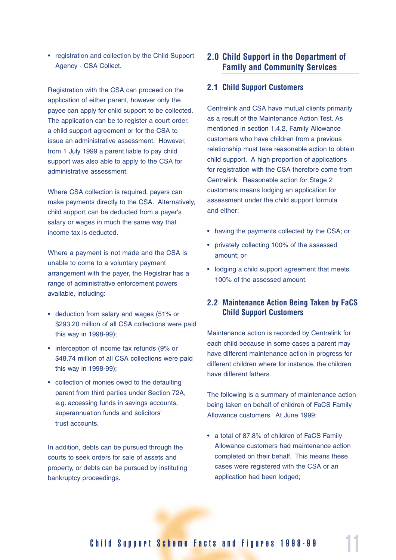• registration and collection by the Child Support Agency - CSA Collect.

Registration with the CSA can proceed on the application of either parent, however only the payee can apply for child support to be collected. The application can be to register a court order, a child support agreement or for the CSA to issue an administrative assessment. However, from 1 July 1999 a parent liable to pay child support was also able to apply to the CSA for administrative assessment.

Where CSA collection is required, payers can make payments directly to the CSA. Alternatively, child support can be deducted from a payer's salary or wages in much the same way that income tax is deducted.

Where a payment is not made and the CSA is unable to come to a voluntary payment arrangement with the payer, the Registrar has a range of administrative enforcement powers available, including:

- deduction from salary and wages (51% or \$293.20 million of all CSA collections were paid this way in 1998-99);
- interception of income tax refunds (9% or \$48.74 million of all CSA collections were paid this way in 1998-99);
- collection of monies owed to the defaulting parent from third parties under Section 72A, e.g. accessing funds in savings accounts, superannuation funds and solicitors' trust accounts.

In addition, debts can be pursued through the courts to seek orders for sale of assets and property, or debts can be pursued by instituting bankruptcy proceedings.

#### **2.0 Child Support in the Department of Family and Community Services**

#### **2.1 Child Support Customers**

Centrelink and CSA have mutual clients primarily as a result of the Maintenance Action Test. As mentioned in section 1.4.2, Family Allowance customers who have children from a previous relationship must take reasonable action to obtain child support. A high proportion of applications for registration with the CSA therefore come from Centrelink. Reasonable action for Stage 2 customers means lodging an application for assessment under the child support formula and either:

- having the payments collected by the CSA; or
- privately collecting 100% of the assessed amount; or
- lodging a child support agreement that meets 100% of the assessed amount.

#### **2.2 Maintenance Action Being Taken by FaCS Child Support Customers**

Maintenance action is recorded by Centrelink for each child because in some cases a parent may have different maintenance action in progress for different children where for instance, the children have different fathers.

The following is a summary of maintenance action being taken on behalf of children of FaCS Family Allowance customers. At June 1999:

• a total of 87.8% of children of FaCS Family Allowance customers had maintenance action completed on their behalf. This means these cases were registered with the CSA or an application had been lodged;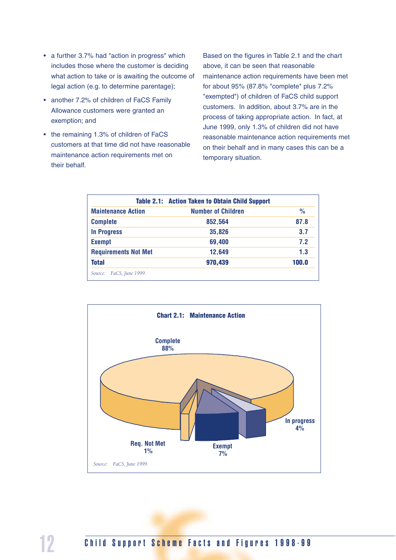- a further 3.7% had "action in progress" which includes those where the customer is deciding what action to take or is awaiting the outcome of legal action (e.g. to determine parentage);
- another 7.2% of children of FaCS Family Allowance customers were granted an exemption; and
- the remaining 1.3% of children of FaCS customers at that time did not have reasonable maintenance action requirements met on their behalf.

Based on the figures in Table 2.1 and the chart above, it can be seen that reasonable maintenance action requirements have been met for about 95% (87.8% "complete" plus 7.2% "exempted") of children of FaCS child support customers. In addition, about 3.7% are in the process of taking appropriate action. In fact, at June 1999, only 1.3% of children did not have reasonable maintenance action requirements met on their behalf and in many cases this can be a temporary situation.

|                             | <b>Table 2.1: Action Taken to Obtain Child Support</b> |               |
|-----------------------------|--------------------------------------------------------|---------------|
| <b>Maintenance Action</b>   | <b>Number of Children</b>                              | $\frac{0}{0}$ |
| <b>Complete</b>             | 852,564                                                | 87.8          |
| <b>In Progress</b>          | 35,826                                                 | 3.7           |
| <b>Exempt</b>               | 69,400                                                 | 7.2           |
| <b>Requirements Not Met</b> | 12,649                                                 | 1.3           |
| <b>Total</b>                | 970,439                                                | 100.0         |
| Source: FaCS, June 1999.    |                                                        |               |

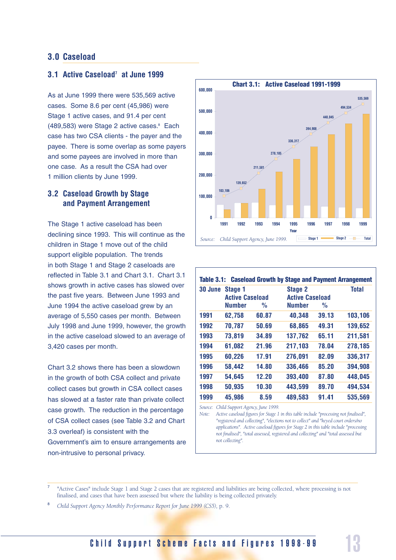#### **3.0 Caseload**

#### **3.1 Active Caseload7 at June 1999**

As at June 1999 there were 535,569 active cases. Some 8.6 per cent (45,986) were Stage 1 active cases, and 91.4 per cent (489,583) were Stage 2 active cases.<sup>8</sup> Each case has two CSA clients - the payer and the payee. There is some overlap as some payers and some payees are involved in more than one case. As a result the CSA had over 1 million clients by June 1999.

#### **3.2 Caseload Growth by Stage and Payment Arrangement**

The Stage 1 active caseload has been declining since 1993. This will continue as the children in Stage 1 move out of the child support eligible population. The trends in both Stage 1 and Stage 2 caseloads are reflected in Table 3.1 and Chart 3.1. Chart 3.1 shows growth in active cases has slowed over the past five years. Between June 1993 and June 1994 the active caseload grew by an average of 5,550 cases per month. Between July 1998 and June 1999, however, the growth in the active caseload slowed to an average of 3,420 cases per month.

Chart 3.2 shows there has been a slowdown in the growth of both CSA collect and private collect cases but growth in CSA collect cases has slowed at a faster rate than private collect case growth. The reduction in the percentage of CSA collect cases (see Table 3.2 and Chart 3.3 overleaf) is consistent with the Government's aim to ensure arrangements are

non-intrusive to personal privacy.



|         |                        |               | Table 3.1: Caseload Growth by Stage and Payment Arrangement |       |              |
|---------|------------------------|---------------|-------------------------------------------------------------|-------|--------------|
| 30 June | Stage 1                |               | <b>Stage 2</b>                                              |       | <b>Total</b> |
|         | <b>Active Caseload</b> |               | <b>Active Caseload</b>                                      |       |              |
|         | <b>Number</b>          | $\frac{0}{0}$ | <b>Number</b>                                               | $\%$  |              |
| 1991    | 62,758                 | 60.87         | 40,348                                                      | 39.13 | 103,106      |
| 1992    | 70,787                 | 50.69         | 68,865                                                      | 49.31 | 139,652      |
| 1993    | 73,819                 | 34.89         | 137,762                                                     | 65.11 | 211,581      |
| 1994    | 61,082                 | 21.96         | 217,103                                                     | 78.04 | 278,185      |
| 1995    | 60,226                 | 17.91         | 276,091                                                     | 82.09 | 336,317      |
| 1996    | 58,442                 | 14.80         | 336,466                                                     | 85.20 | 394,908      |
| 1997    | 54,645                 | 12.20         | 393,400                                                     | 87.80 | 448,045      |
| 1998    | 50,935                 | 10.30         | 443,599                                                     | 89.70 | 494,534      |
| 1999    | 45,986                 | 8.59          | 489,583                                                     | 91.41 | 535,569      |

*Source: Child Support Agency, June 1999.*

*Note: Active caseload figures for Stage 1 in this table include "processing not finalised", "registered and collecting", "elections not to collect" and "keyed court orders/no applications". Active caseload figures for Stage 2 in this table include "processing not finalised", "total assessed, registered and collecting" and "total assessed but not collecting".*

<sup>8</sup> *Child Support Agency Monthly Performance Report for June 1999 (CS5),* p. 9.

## Child Support Scheme Facts and Figures 1998-99

<sup>7</sup> "Active Cases" include Stage 1 and Stage 2 cases that are registered and liabilities are being collected, where processing is not finalised, and cases that have been assessed but where the liability is being collected privately.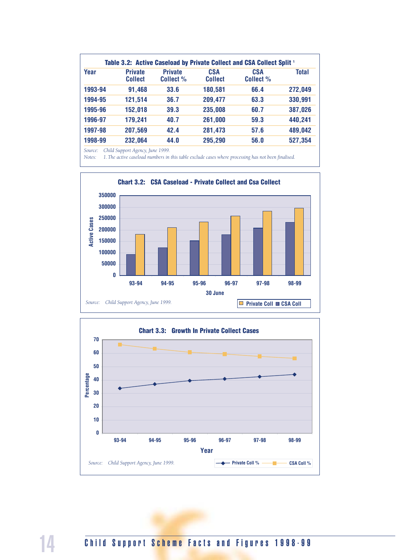|         |                                  | Table 3.2: Active Caseload by Private Collect and CSA Collect Split 1 |                              |                         |              |
|---------|----------------------------------|-----------------------------------------------------------------------|------------------------------|-------------------------|--------------|
| Year    | <b>Private</b><br><b>Collect</b> | <b>Private</b><br>Collect %                                           | <b>CSA</b><br><b>Collect</b> | <b>CSA</b><br>Collect % | <b>Total</b> |
| 1993-94 | 91,468                           | 33.6                                                                  | 180,581                      | 66.4                    | 272,049      |
| 1994-95 | 121,514                          | 36.7                                                                  | 209,477                      | 63.3                    | 330,991      |
| 1995-96 | 152,018                          | 39.3                                                                  | 235,008                      | 60.7                    | 387,026      |
| 1996-97 | 179,241                          | 40.7                                                                  | 261,000                      | 59.3                    | 440,241      |
| 1997-98 | 207,569                          | 42.4                                                                  | 281,473                      | 57.6                    | 489,042      |
| 1998-99 | 232,064                          | 44.0                                                                  | 295,290                      | 56.0                    | 527,354      |

*Source: Child Support Agency, June 1999.*

*Notes: 1.The active caseload numbers in this table exclude cases where processing has not been finalised.*





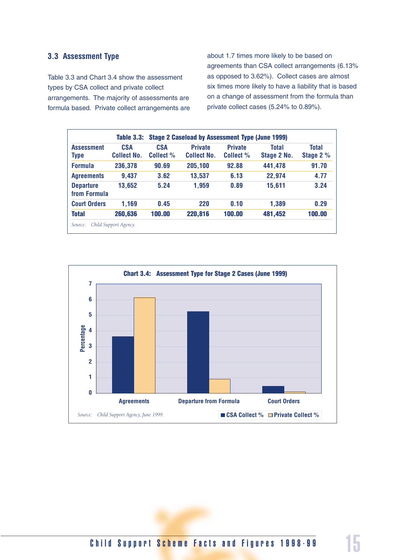#### **3.3 Assessment Type**

Table 3.3 and Chart 3.4 show the assessment types by CSA collect and private collect arrangements. The majority of assessments are formula based. Private collect arrangements are about 1.7 times more likely to be based on agreements than CSA collect arrangements (6.13% as opposed to 3.62%). Collect cases are almost six times more likely to have a liability that is based on a change of assessment from the formula than private collect cases (5.24% to 0.89%).

|                                  | Table 3.3:                       |                         | <b>Stage 2 Caseload by Assessment Type (June 1999)</b> |                             |                             |                           |
|----------------------------------|----------------------------------|-------------------------|--------------------------------------------------------|-----------------------------|-----------------------------|---------------------------|
| <b>Assessment</b><br>Type        | <b>CSA</b><br><b>Collect No.</b> | <b>CSA</b><br>Collect % | <b>Private</b><br><b>Collect No.</b>                   | <b>Private</b><br>Collect % | <b>Total</b><br>Stage 2 No. | <b>Total</b><br>Stage 2 % |
| <b>Formula</b>                   | 236,378                          | 90.69                   | 205,100                                                | 92.88                       | 441,478                     | 91.70                     |
| <b>Agreements</b>                | 9,437                            | 3.62                    | 13,537                                                 | 6.13                        | 22,974                      | 4.77                      |
| <b>Departure</b><br>from Formula | 13,652                           | 5.24                    | 1,959                                                  | 0.89                        | 15,611                      | 3.24                      |
| <b>Court Orders</b>              | 1,169                            | 0.45                    | <b>220</b>                                             | 0.10                        | 1,389                       | 0.29                      |
| <b>Total</b>                     | 260,636                          | 100.00                  | 220,816                                                | 100.00                      | 481,452                     | 100.00                    |



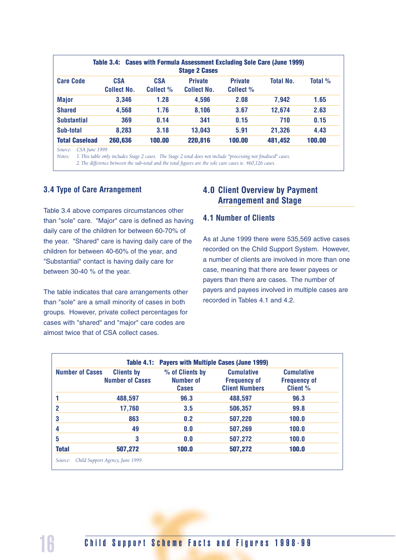|                                  | <b>Stage 2 Cases</b>    |                                      |                             |                  |                                                                          |
|----------------------------------|-------------------------|--------------------------------------|-----------------------------|------------------|--------------------------------------------------------------------------|
| <b>CSA</b><br><b>Collect No.</b> | <b>CSA</b><br>Collect % | <b>Private</b><br><b>Collect No.</b> | <b>Private</b><br>Collect % | <b>Total No.</b> | Total %                                                                  |
| 3,346                            | 1.28                    | 4,596                                | 2.08                        | 7,942            | 1.65                                                                     |
| 4,568                            | 1.76                    | 8,106                                | 3.67                        | 12,674           | 2.63                                                                     |
| 369                              | 0.14                    | 341                                  | 0.15                        | 710              | 0.15                                                                     |
| 8,283                            | 3.18                    | 13,043                               | 5.91                        | 21,326           | 4.43                                                                     |
| 260,636                          | 100.00                  | 220,816                              | 100.00                      | 481,452          | 100.00                                                                   |
|                                  |                         |                                      |                             |                  | Table 3.4: Cases with Formula Assessment Excluding Sole Care (June 1999) |

*Notes: 1.This table only includes Stage 2 cases. The Stage 2 total does not include "processing not finalised" cases. 2.The difference between the sub-total and the total figures are the sole care cases ie. 460,126 cases.*

#### **3.4 Type of Care Arrangement**

Table 3.4 above compares circumstances other than "sole" care. "Major" care is defined as having daily care of the children for between 60-70% of the year. "Shared" care is having daily care of the children for between 40-60% of the year, and "Substantial" contact is having daily care for between 30-40 % of the year.

The table indicates that care arrangements other than "sole" are a small minority of cases in both groups. However, private collect percentages for cases with "shared" and "major" care codes are almost twice that of CSA collect cases.

### **4.0 Client Overview by Payment Arrangement and Stage**

#### **4.1 Number of Clients**

As at June 1999 there were 535,569 active cases recorded on the Child Support System. However, a number of clients are involved in more than one case, meaning that there are fewer payees or payers than there are cases. The number of payers and payees involved in multiple cases are recorded in Tables 4.1 and 4.2.

| <b>Number of Cases</b> | <b>Clients by</b><br><b>Number of Cases</b> | % of Clients by<br>Number of<br><b>Cases</b> | <b>Cumulative</b><br><b>Frequency of</b><br><b>Client Numbers</b> | <b>Cumulative</b><br><b>Frequency of</b><br><b>Client %</b> |
|------------------------|---------------------------------------------|----------------------------------------------|-------------------------------------------------------------------|-------------------------------------------------------------|
|                        | 488,597                                     | 96.3                                         | 488,597                                                           | 96.3                                                        |
| 2                      | 17,760                                      | 3.5                                          | 506,357                                                           | 99.8                                                        |
| 3                      | 863                                         | 0.2                                          | 507,220                                                           | 100.0                                                       |
| 4                      | 49                                          | 0.0                                          | 507,269                                                           | 100.0                                                       |
| 5                      | 3                                           | 0.0                                          | 507,272                                                           | 100.0                                                       |
| <b>Total</b>           | 507,272                                     | 100.0                                        | 507,272                                                           | 100.0                                                       |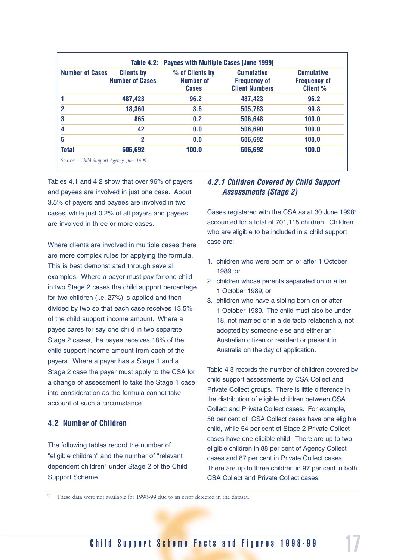| <b>Number of Cases</b> | <b>Clients by</b><br><b>Number of Cases</b> | % of Clients by<br><b>Number of</b><br><b>Cases</b> | <b>Cumulative</b><br><b>Frequency of</b><br><b>Client Numbers</b> | <b>Cumulative</b><br><b>Frequency of</b><br><b>Client %</b> |
|------------------------|---------------------------------------------|-----------------------------------------------------|-------------------------------------------------------------------|-------------------------------------------------------------|
|                        | 487,423                                     | 96.2                                                | 487,423                                                           | 96.2                                                        |
| 2                      | 18,360                                      | 3.6                                                 | 505,783                                                           | 99.8                                                        |
| 3                      | 865                                         | 0.2                                                 | 506,648                                                           | 100.0                                                       |
| 4                      | 42                                          | 0.0                                                 | 506,690                                                           | 100.0                                                       |
| 5                      | $\overline{2}$                              | 0.0                                                 | 506,692                                                           | 100.0                                                       |
| <b>Total</b>           | 506,692                                     | 100.0                                               | 506,692                                                           | 100.0                                                       |

Tables 4.1 and 4.2 show that over 96% of payers and payees are involved in just one case. About 3.5% of payers and payees are involved in two cases, while just 0.2% of all payers and payees are involved in three or more cases.

Where clients are involved in multiple cases there are more complex rules for applying the formula. This is best demonstrated through several examples. Where a payer must pay for one child in two Stage 2 cases the child support percentage for two children (i.e. 27%) is applied and then divided by two so that each case receives 13.5% of the child support income amount. Where a payee cares for say one child in two separate Stage 2 cases, the payee receives 18% of the child support income amount from each of the payers. Where a payer has a Stage 1 and a Stage 2 case the payer must apply to the CSA for a change of assessment to take the Stage 1 case into consideration as the formula cannot take account of such a circumstance.

#### **4.2 Number of Children**

The following tables record the number of "eligible children" and the number of "relevant dependent children" under Stage 2 of the Child Support Scheme.

#### *4.2.1 Children Covered by Child Support Assessments (Stage 2)*

Cases registered with the CSA as at 30 June 1998<sup>9</sup> accounted for a total of 701,115 children. Children who are eligible to be included in a child support case are:

- 1. children who were born on or after 1 October 1989; or
- 2. children whose parents separated on or after 1 October 1989; or
- 3. children who have a sibling born on or after 1 October 1989. The child must also be under 18, not married or in a de facto relationship, not adopted by someone else and either an Australian citizen or resident or present in Australia on the day of application.

Table 4.3 records the number of children covered by child support assessments by CSA Collect and Private Collect groups. There is little difference in the distribution of eligible children between CSA Collect and Private Collect cases. For example, 58 per cent of CSA Collect cases have one eligible child, while 54 per cent of Stage 2 Private Collect cases have one eligible child. There are up to two eligible children in 88 per cent of Agency Collect cases and 87 per cent in Private Collect cases. There are up to three children in 97 per cent in both CSA Collect and Private Collect cases.

These data were not available for 1998-99 due to an error detected in the dataset.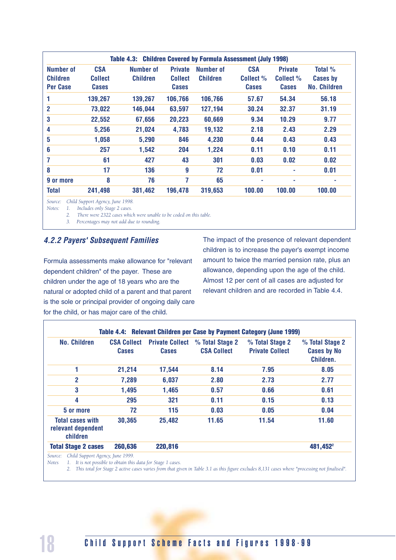|                                          |                                              | <b>Table 4.3: Children Covered by Formula Assessment (July 1998)</b> |                                                  |                              |                                         |                                             |                                            |
|------------------------------------------|----------------------------------------------|----------------------------------------------------------------------|--------------------------------------------------|------------------------------|-----------------------------------------|---------------------------------------------|--------------------------------------------|
| Number of<br><b>Children</b><br>Per Case | <b>CSA</b><br><b>Collect</b><br><b>Cases</b> | Number of<br><b>Children</b>                                         | <b>Private</b><br><b>Collect</b><br><b>Cases</b> | Number of<br><b>Children</b> | <b>CSA</b><br>Collect %<br><b>Cases</b> | <b>Private</b><br>Collect %<br><b>Cases</b> | Total %<br><b>Cases by</b><br>No. Children |
| 1                                        | 139,267                                      | 139,267                                                              | 106,766                                          | 106,766                      | 57.67                                   | 54.34                                       | 56.18                                      |
| $\overline{2}$                           | 73,022                                       | 146,044                                                              | 63,597                                           | 127,194                      | 30.24                                   | 32.37                                       | 31.19                                      |
| 3                                        | 22,552                                       | 67,656                                                               | 20,223                                           | 60,669                       | 9.34                                    | 10.29                                       | 9.77                                       |
| 4                                        | 5,256                                        | 21,024                                                               | 4,783                                            | 19,132                       | 2.18                                    | 2.43                                        | 2.29                                       |
| 5                                        | 1,058                                        | 5,290                                                                | 846                                              | 4,230                        | 0.44                                    | 0.43                                        | 0.43                                       |
| 6                                        | 257                                          | 1,542                                                                | 204                                              | 1,224                        | 0.11                                    | 0.10                                        | 0.11                                       |
| 7                                        | 61                                           | 427                                                                  | 43                                               | 301                          | 0.03                                    | 0.02                                        | 0.02                                       |
| 8                                        | 17                                           | 136                                                                  | 9                                                | 72                           | 0.01                                    |                                             | 0.01                                       |
| 9 or more                                | 8                                            | 76                                                                   | 7                                                | 65                           | ٠                                       | ٠                                           | ۰                                          |
| <b>Total</b>                             | 241,498                                      | 381,462                                                              | 196,478                                          | 319,653                      | 100.00                                  | 100.00                                      | 100.00                                     |

*Source: Child Support Agency, June 1998.*

*Notes: 1. Includes only Stage 2 cases.*

*2. There were 2322 cases which were unable to be coded on this table.*

*3. Percentages may not add due to rounding.*

#### *4.2.2 Payers' Subsequent Families*

Formula assessments make allowance for "relevant dependent children" of the payer. These are children under the age of 18 years who are the natural or adopted child of a parent and that parent is the sole or principal provider of ongoing daily care for the child, or has major care of the child.

The impact of the presence of relevant dependent children is to increase the payer's exempt income amount to twice the married pension rate, plus an allowance, depending upon the age of the child. Almost 12 per cent of all cases are adjusted for relevant children and are recorded in Table 4.4.

| <b>No. Children</b>                                       | <b>CSA Collect</b><br><b>Cases</b> | <b>Private Collect</b><br><b>Cases</b> | % Total Stage 2<br><b>CSA Collect</b> | % Total Stage 2<br><b>Private Collect</b> | % Total Stage 2<br><b>Cases by No</b><br>Children. |
|-----------------------------------------------------------|------------------------------------|----------------------------------------|---------------------------------------|-------------------------------------------|----------------------------------------------------|
|                                                           | 21,214                             | 17,544                                 | 8.14                                  | 7.95                                      | 8.05                                               |
| $\overline{2}$                                            | 7,289                              | 6,037                                  | 2.80                                  | 2.73                                      | 2.77                                               |
| 3                                                         | 1,495                              | 1,465                                  | 0.57                                  | 0.66                                      | 0.61                                               |
| 4                                                         | 295                                | 321                                    | 0.11                                  | 0.15                                      | 0.13                                               |
| 5 or more                                                 | 72                                 | 115                                    | 0.03                                  | 0.05                                      | 0.04                                               |
| <b>Total cases with</b><br>relevant dependent<br>children | 30,365                             | 25,482                                 | 11.65                                 | 11.54                                     | 11.60                                              |
| <b>Total Stage 2 cases</b>                                | 260,636                            | 220,816                                |                                       |                                           | 481,452 <sup>2</sup>                               |

*Notes 1. It is not possible to obtain this data for Stage 1 cases.*

*2. This total for Stage 2 active cases varies from that given in Table 3.1 as this figure excludes 8,131 cases where "processing not finalised".*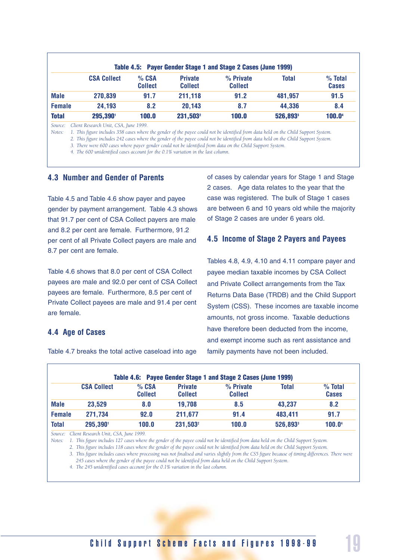|               |                    |                           |                                  | Table 4.5: Payer Gender Stage 1 and Stage 2 Cases (June 1999) |              |                           |
|---------------|--------------------|---------------------------|----------------------------------|---------------------------------------------------------------|--------------|---------------------------|
|               | <b>CSA Collect</b> | $%$ CSA<br><b>Collect</b> | <b>Private</b><br><b>Collect</b> | % Private<br><b>Collect</b>                                   | <b>Total</b> | $%$ Total<br><b>Cases</b> |
| <b>Male</b>   | 270,839            | 91.7                      | 211,118                          | 91.2                                                          | 481,957      | 91.5                      |
| <b>Female</b> | 24,193             | 8.2                       | 20,143                           | 8.7                                                           | 44,336       | 8.4                       |
| <b>Total</b>  | 295,390            | 100.0                     | 231,503 <sup>2</sup>             | 100.0                                                         | 526,893      | <b>100.0</b> <sup>4</sup> |

*Source: Client Research Unit, CSA, June 1999.*

*Notes: 1. This figure includes 358 cases where the gender of the payee could not be identified from data held on the Child Support System.*

*2. This figure includes 242 cases where the gender of the payee could not be identified from data held on the Child Support System.*

*3. There were 600 cases where payer gender could not be identified from data on the Child Support System.*

*4. The 600 unidentified cases account for the 0.1% variation in the last column.*

#### **4.3 Number and Gender of Parents**

Table 4.5 and Table 4.6 show payer and payee gender by payment arrangement. Table 4.3 shows that 91.7 per cent of CSA Collect payers are male and 8.2 per cent are female. Furthermore, 91.2 per cent of all Private Collect payers are male and 8.7 per cent are female.

Table 4.6 shows that 8.0 per cent of CSA Collect payees are male and 92.0 per cent of CSA Collect payees are female. Furthermore, 8.5 per cent of Private Collect payees are male and 91.4 per cent are female.

#### **4.4 Age of Cases**

Table 4.7 breaks the total active caseload into age

of cases by calendar years for Stage 1 and Stage 2 cases. Age data relates to the year that the case was registered. The bulk of Stage 1 cases are between 6 and 10 years old while the majority of Stage 2 cases are under 6 years old.

#### **4.5 Income of Stage 2 Payers and Payees**

Tables 4.8, 4.9, 4.10 and 4.11 compare payer and payee median taxable incomes by CSA Collect and Private Collect arrangements from the Tax Returns Data Base (TRDB) and the Child Support System (CSS). These incomes are taxable income amounts, not gross income. Taxable deductions have therefore been deducted from the income, and exempt income such as rent assistance and family payments have not been included.

|               |                    |                           |                                  | Table 4.6: Payee Gender Stage 1 and Stage 2 Cases (June 1999) |         |                           |
|---------------|--------------------|---------------------------|----------------------------------|---------------------------------------------------------------|---------|---------------------------|
|               | <b>CSA Collect</b> | $%$ CSA<br><b>Collect</b> | <b>Private</b><br><b>Collect</b> | % Private<br><b>Collect</b>                                   | Total   | $%$ Total<br><b>Cases</b> |
| <b>Male</b>   | 23,529             | 8.0                       | 19,708                           | 8.5                                                           | 43,237  | 8.2                       |
| <b>Female</b> | 271,734            | 92.0                      | 211,677                          | 91.4                                                          | 483,411 | 91.7                      |
| Total         | 295,390            | 100.0                     | 231,503 <sup>2</sup>             | 100.0                                                         | 526,893 | 100.04                    |

*Source: Client Research Unit, CSA, June 1999.*

*Notes: 1. This figure includes 127 cases where the gender of the payee could not be identified from data held on the Child Support System.*

*2. This figure includes 118 cases where the gender of the payee could not be identified from data held on the Child Support System.*

*3. This figure includes cases where processing was not finalised and varies slightly from the CS5 figure because of timing differences. There were 245 cases where the gender of the payee could not be identified from data held on the Child Support System.*

*4. The 245 unidentified cases account for the 0.1% variation in the last column.*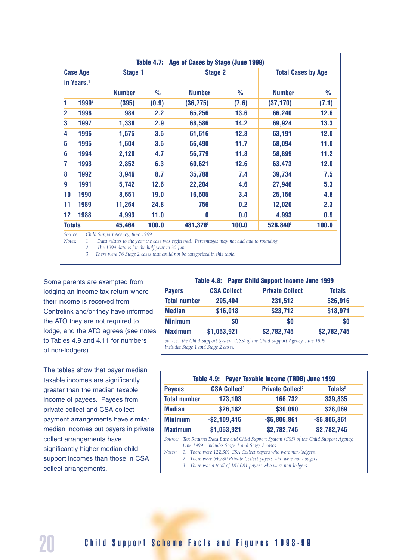|                |                        |               |               | Table 4.7: Age of Cases by Stage (June 1999) |               |                           |               |
|----------------|------------------------|---------------|---------------|----------------------------------------------|---------------|---------------------------|---------------|
|                | <b>Case Age</b>        | Stage 1       |               | <b>Stage 2</b>                               |               | <b>Total Cases by Age</b> |               |
|                | in Years. <sup>1</sup> |               |               |                                              |               |                           |               |
|                |                        | <b>Number</b> | $\frac{1}{2}$ | <b>Number</b>                                | $\frac{0}{0}$ | <b>Number</b>             | $\frac{0}{0}$ |
| 1              | 1999 <sup>2</sup>      | (395)         | (0.9)         | (36, 775)                                    | (7.6)         | (37, 170)                 | (7.1)         |
| $\overline{2}$ | 1998                   | 984           | 2.2           | 65,256                                       | 13.6          | 66,240                    | 12.6          |
| 3              | 1997                   | 1,338         | 2.9           | 68,586                                       | 14.2          | 69,924                    | 13.3          |
| 4              | 1996                   | 1,575         | 3.5           | 61,616                                       | 12.8          | 63,191                    | 12.0          |
| 5              | 1995                   | 1,604         | 3.5           | 56,490                                       | 11.7          | 58,094                    | 11.0          |
| 6              | 1994                   | 2,120         | 4.7           | 56,779                                       | 11.8          | 58,899                    | 11.2          |
| 7              | 1993                   | 2,852         | 6.3           | 60,621                                       | 12.6          | 63,473                    | 12.0          |
| 8              | 1992                   | 3,946         | 8.7           | 35,788                                       | 7.4           | 39,734                    | 7.5           |
| 9              | 1991                   | 5,742         | 12.6          | 22,204                                       | 4.6           | 27,946                    | 5.3           |
| 10             | 1990                   | 8,651         | 19.0          | 16,505                                       | 3.4           | 25,156                    | 4.8           |
| 11             | 1989                   | 11,264        | 24.8          | 756                                          | 0.2           | 12,020                    | 2.3           |
| 12             | 1988                   | 4,993         | 11.0          | 0                                            | 0.0           | 4,993                     | 0.9           |
| <b>Totals</b>  |                        | 45,464        | 100.0         | 481,376 <sup>3</sup>                         | 100.0         | 526,840 <sup>3</sup>      | 100.0         |

*Source: Child Support Agency, June 1999.*

*Notes: 1. Data relates to the year the case was registered. Percentages may not add due to rounding.*

*2. The 1999 data is for the half year to 30 June.*

*3. There were 76 Stage 2 cases that could not be categorised in this table.*

Some parents are exempted from lodging an income tax return where their income is received from Centrelink and/or they have informed the ATO they are not required to lodge, and the ATO agrees (see notes to Tables 4.9 and 4.11 for numbers of non-lodgers).

The tables show that payer median taxable incomes are significantly greater than the median taxable income of payees. Payees from private collect and CSA collect payment arrangements have similar median incomes but payers in private collect arrangements have significantly higher median child support incomes than those in CSA collect arrangements.

|                     |                    | Table 4.8: Payer Child Support Income June 1999 |               |
|---------------------|--------------------|-------------------------------------------------|---------------|
| <b>Payers</b>       | <b>CSA Collect</b> | <b>Private Collect</b>                          | <b>Totals</b> |
| <b>Total number</b> | 295,404            | 231,512                                         | 526,916       |
| <b>Median</b>       | \$16,018           | \$23,712                                        | \$18,971      |
| <b>Minimum</b>      | \$0                | \$0                                             | \$0           |
| <b>Maximum</b>      | \$1,053,921        | \$2,782,745                                     | \$2,782,745   |

*Includes Stage 1 and Stage 2 cases.*

|                     |                                | Table 4.9: Payer Taxable Income (TRDB) June 1999 |                            |
|---------------------|--------------------------------|--------------------------------------------------|----------------------------|
| <b>Payees</b>       | <b>CSA Collect<sup>1</sup></b> | <b>Private Collect<sup>2</sup></b>               | <b>Totals</b> <sup>3</sup> |
| <b>Total number</b> | 173,103                        | 166,732                                          | 339,835                    |
| <b>Median</b>       | \$26,182                       | \$30,090                                         | \$28,069                   |
| <b>Minimum</b>      | $-$ \$2,109,415                | $-$5,806,861$                                    | $-$5,806,861$              |
| <b>Maximum</b>      | \$1,053,921                    | \$2,782,745                                      | \$2,782,745                |

*Source: Tax Returns Data Base and Child Support System (CSS) of the Child Support Agency, June 1999. Includes Stage 1 and Stage 2 cases.*

*Notes: 1. There were 122,301 CSA Collect payers who were non-lodgers.*

- *2. There were 64,780 Private Collect payers who were non-lodgers.*
- *3. There was a total of 187,081 payers who were non-lodgers.*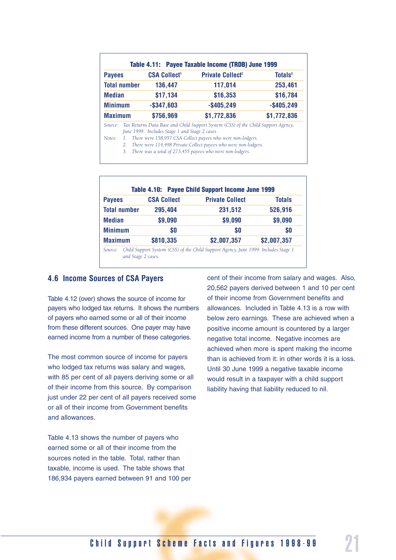| <b>Payees</b>     |                     | <b>CSA Collect<sup>1</sup></b>                 | <b>Private Collect<sup>2</sup></b>                                                                                                                                                                                                                                               | <b>Totals</b> <sup>3</sup> |
|-------------------|---------------------|------------------------------------------------|----------------------------------------------------------------------------------------------------------------------------------------------------------------------------------------------------------------------------------------------------------------------------------|----------------------------|
|                   | <b>Total number</b> | 136,447                                        | 117,014                                                                                                                                                                                                                                                                          | 253,461                    |
| <b>Median</b>     |                     | \$17,134                                       | \$16,353                                                                                                                                                                                                                                                                         | \$16,784                   |
| <b>Minimum</b>    |                     | $-$ \$347,603                                  | $-$ \$405,249                                                                                                                                                                                                                                                                    | $-$ \$405,249              |
| <b>Maximum</b>    |                     | \$756,969                                      | \$1,772,836                                                                                                                                                                                                                                                                      | \$1,772,836                |
| Source:<br>Notes: | 1.<br>2.<br>3.      | June 1999. Includes Stage 1 and Stage 2 cases. | Tax Returns Data Base and Child Support System (CSS) of the Child Support Agency,<br>There were 158,957 CSA Collect payees who were non-lodgers.<br>There were 114,498 Private Collect payees who were non-lodgers.<br>There was a total of 273,455 payees who were non-lodgers. |                            |

|                     |                    | Table 4.10: Payee Child Support Income June 1999                                    |               |
|---------------------|--------------------|-------------------------------------------------------------------------------------|---------------|
| <b>Payees</b>       | <b>CSA Collect</b> | <b>Private Collect</b>                                                              | <b>Totals</b> |
| <b>Total number</b> | 295,404            | 231,512                                                                             | 526,916       |
| <b>Median</b>       | \$9,090            | \$9,090                                                                             | \$9,090       |
| <b>Minimum</b>      | \$0                | \$0                                                                                 | \$0           |
| <b>Maximum</b>      | \$810,335          | \$2,007,357                                                                         | \$2,007,357   |
| Source:             |                    | Child Support System (CSS) of the Child Support Agency, June 1999. Includes Stage 1 |               |

*and Stage 2 cases.*

#### **4.6 Income Sources of CSA Payers**

Table 4.12 (over) shows the source of income for payers who lodged tax returns. It shows the numbers of payers who earned some or all of their income from these different sources. One payer may have earned income from a number of these categories.

The most common source of income for payers who lodged tax returns was salary and wages, with 85 per cent of all payers deriving some or all of their income from this source. By comparison just under 22 per cent of all payers received some or all of their income from Government benefits and allowances.

Table 4.13 shows the number of payers who earned some or all of their income from the sources noted in the table. Total, rather than taxable, income is used. The table shows that 186,934 payers earned between 91 and 100 per cent of their income from salary and wages. Also, 20,562 payers derived between 1 and 10 per cent of their income from Government benefits and allowances. Included in Table 4.13 is a row with below zero earnings. These are achieved when a positive income amount is countered by a larger negative total income. Negative incomes are achieved when more is spent making the income than is achieved from it: in other words it is a loss. Until 30 June 1999 a negative taxable income would result in a taxpayer with a child support liability having that liability reduced to nil.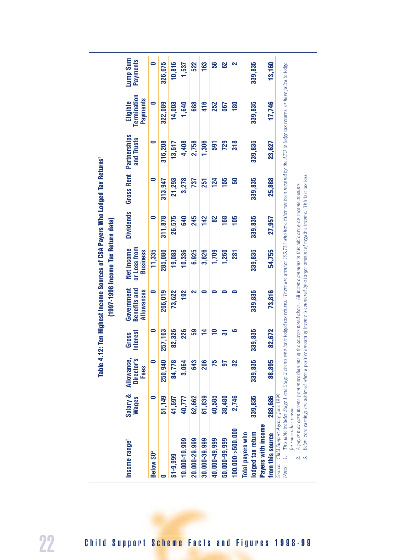|                           |                          |                                  |                          |                                                 | Table 4.12: Ten Highest Income Sources of CSA Payers Who Lodged Tax Returns'<br>(1997-1998 Income Tax Return data) |                  |                   |                            |                                     |
|---------------------------|--------------------------|----------------------------------|--------------------------|-------------------------------------------------|--------------------------------------------------------------------------------------------------------------------|------------------|-------------------|----------------------------|-------------------------------------|
| Income range <sup>2</sup> | Salary &<br><b>Wages</b> | Allowance,<br>Director's<br>Fees | <b>Interest</b><br>Gross | <b>Benefits and</b><br>Government<br>Allowances | or Loss from<br>Net Income<br><b>Business</b>                                                                      | <b>Dividends</b> | <b>Gross Rent</b> | Partnerships<br>and Trusts | Termination<br>Payments<br>Eligible |
| Below \$0 <sup>3</sup>    | $\bullet$                | Ξ                                | 0                        | $\bullet$                                       | 11,335                                                                                                             | 0                | $\bullet$         | Ξ                          | $\bullet$                           |
| ∊                         | 51,149                   | 250,940                          | 257,163                  | 266,019                                         | 285,080                                                                                                            | 311,878          | 313,947           | 316,208                    | 322,089                             |
| $$1-9,999$                | 41,597                   | 84,778                           | 82,326                   | 73,622                                          | 19,083                                                                                                             | 26,575           | 21,293            | 13,517                     | 14,003                              |
| 10,000-19,999             | 40,777                   | 3,064                            | 226                      | 192                                             | 10,336                                                                                                             | 640              | 3,278             | 4,408                      | 1,640                               |
| 20,000-29,999             | 62,662                   | 643                              | 59                       | 2                                               | 6,925                                                                                                              | 245              | 737               | 2,758                      | 688                                 |
| 30,000-39,999             | 61,839                   | 206                              | $\frac{4}{7}$            | $\bullet$                                       | 3,826                                                                                                              | 142              | 251               | 1,306                      | 416                                 |
| 40,000-49,999             | 40,585                   | 75                               | $\overline{\phantom{0}}$ | 0                                               | 1,709                                                                                                              | 82               | 124               | 591                        | 252                                 |
| 50,000-99,999             | 38,480                   | 50                               | 57                       | 0                                               | 1,260                                                                                                              | 168              | 155               | 729                        | 567                                 |
| 100,000->500,000          | 2,746                    | 32                               | 9                        | $\bullet$                                       | 281                                                                                                                | 105              | 50                | 318                        | 180                                 |
| Total payers who          |                          |                                  |                          |                                                 |                                                                                                                    |                  |                   |                            |                                     |
| lodged tax return         | 339,835                  | 339,835                          | 339,835                  | 339,835                                         | 339,835                                                                                                            | 339,835          | 339,835           | 339,835                    | 339,835                             |
| Payers with income        |                          |                                  |                          |                                                 |                                                                                                                    |                  |                   |                            |                                     |
| from this source          | 288,686                  | 88,895                           | 82,672                   | 73,816                                          | 54,755                                                                                                             | 27,957           | 25,888            | 23,627                     | 17,746                              |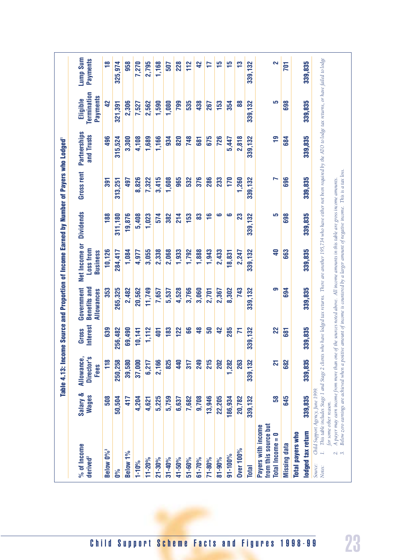|                                                                                                    |                          | Table 4.13: Incor                          |                                 |                                                 | me Source and Proportion of Income Earned by Number of Payers who Lodged                                                                                                                                                                                                                    |                  |                   |                            |                                            |                      |
|----------------------------------------------------------------------------------------------------|--------------------------|--------------------------------------------|---------------------------------|-------------------------------------------------|---------------------------------------------------------------------------------------------------------------------------------------------------------------------------------------------------------------------------------------------------------------------------------------------|------------------|-------------------|----------------------------|--------------------------------------------|----------------------|
| % of Income<br>derived <sup>2</sup>                                                                | Salary &<br><b>Wages</b> | Allowance,<br>Director's<br>Fees           | <b>Interest</b><br><b>Gross</b> | <b>Benefits and</b><br>Government<br>Allowances | Net Income or<br>Loss from<br><b>Business</b>                                                                                                                                                                                                                                               | <b>Dividends</b> | <b>Gross rent</b> | Partnerships<br>and Trusts | Termination<br><b>Payments</b><br>Eligible | Lump Sum<br>Payments |
| Below 0% <sup>3</sup>                                                                              | 508                      | 118                                        | 639                             | 353                                             | 10,126                                                                                                                                                                                                                                                                                      | 188              | 391               | 496                        | 42                                         | $\frac{8}{1}$        |
| 0%                                                                                                 | 50,504                   | 250,258                                    | 256,482                         | 265,325                                         | 284,417                                                                                                                                                                                                                                                                                     | 311,180          | 313,251           | 315,524                    | 321,391                                    | 325,974              |
| Below 1%                                                                                           | 417                      | 39,580                                     | 69,490                          | 2,482                                           | 1,084                                                                                                                                                                                                                                                                                       | 19,876           | 497               | 3,300                      | 2,306                                      | 958                  |
| $1 - 10%$                                                                                          | 4,204                    | 37,000                                     | 10,141                          | 20,562                                          | 4,977                                                                                                                                                                                                                                                                                       | 5,408            | 8,826             | 4,108                      | 7,527                                      | 7,270                |
| 11-20%                                                                                             | 4,621                    | 6,217                                      | 1,112                           | 11,749                                          | 3,055                                                                                                                                                                                                                                                                                       | 1,023            | 7,322             | 1,689                      | 2,562                                      | 2,795                |
| $21 - 30%$                                                                                         | 5,225                    | 2,166                                      | 401                             | 7,657                                           | 2,338                                                                                                                                                                                                                                                                                       | 574              | 3,415             | 1,166                      | 1,590                                      | 1,168                |
| $31 - 40%$                                                                                         | 5,759                    | 825                                        | 183                             | 5,537                                           | 2,068                                                                                                                                                                                                                                                                                       | 382              | 1,608             | 934                        | 1,080                                      | 507                  |
| 41-50%                                                                                             | 6,637                    | 440                                        | 122                             | 4,528                                           | 1,933                                                                                                                                                                                                                                                                                       | 214              | 965               | 820                        | 799                                        | 228                  |
| 51-60%                                                                                             | 7,682                    | 317                                        | 66                              | 3,766                                           | 1,792                                                                                                                                                                                                                                                                                       | 153              | 532               | 748                        | 535                                        | 112                  |
| $61 - 70%$                                                                                         | 9,708                    | 249                                        | $\frac{8}{3}$                   | 3,060                                           | 1,888                                                                                                                                                                                                                                                                                       | 83               | 376               | 681                        | 438                                        | 42                   |
| 71-80%                                                                                             | 13,946                   | 215                                        | 50                              | 2,701                                           | 1,943                                                                                                                                                                                                                                                                                       | $\frac{6}{1}$    | 286               | 675                        | 267                                        | F                    |
| 81-90%                                                                                             | 22,205                   | 202                                        | $\overline{4}$                  | 2,367                                           | 2,433                                                                                                                                                                                                                                                                                       | ڡ                | 233               | 726                        | 153                                        | 51                   |
| 91-100%                                                                                            | 186,934                  | 1,282                                      | 285                             | 8,302                                           | 18,831                                                                                                                                                                                                                                                                                      | ဖ                | 170               | 5,447                      | 354                                        | 15                   |
| Over 100%                                                                                          | 20,782                   | 263                                        | N                               | 743                                             | 2,247                                                                                                                                                                                                                                                                                       | 23               | 1,260             | 2,818                      | 88                                         | က္                   |
| <b>Total</b>                                                                                       | 339,132                  | 339,132                                    | 339,132                         | 339, 132                                        | 339,132                                                                                                                                                                                                                                                                                     | 339, 132         | 339, 132          | 339,132                    | 339, 132                                   | 339,132              |
| from this source but<br>Payers with income<br>0<br>Total Income =                                  | 58                       | $\overline{21}$                            | 22                              | ၜ                                               | $\overline{\mathbf{d}}$                                                                                                                                                                                                                                                                     | မာ               | r                 | <u>۾</u>                   | မာ                                         | 2                    |
| Missing data                                                                                       | 645                      | 682                                        | 681                             | 694                                             | 663                                                                                                                                                                                                                                                                                         | 698              | 696               | 684                        | 698                                        | 701                  |
| Total payers who                                                                                   |                          |                                            |                                 |                                                 |                                                                                                                                                                                                                                                                                             |                  |                   |                            |                                            |                      |
| lodged tax return                                                                                  | 339,835                  | 339,835                                    | 339,835                         | 339,835                                         | 339,835                                                                                                                                                                                                                                                                                     | 339,835          | 339,835           | 339,835                    | 339,835                                    | 339,835              |
| Child Support Agency, June 1999<br>for some other reason.<br>$\sim$<br>$\sim$<br>Source:<br>Notes: |                          | A payer may earn income from more than one |                                 |                                                 | This table includes Stage 1 and Stage 2 clients who have lodged tax returns. There are another 195,734 who have either not been required by the ATO to lodge tax returns, or have failed to lodge<br>of the sources noted above. All income amounts in this table are gross income amounts. |                  |                   |                            |                                            |                      |
|                                                                                                    |                          |                                            |                                 |                                                 | Below zero earnings are achieved when a positive amount of income is countered by a larger amount of negative income. This is a tax loss                                                                                                                                                    |                  |                   |                            |                                            |                      |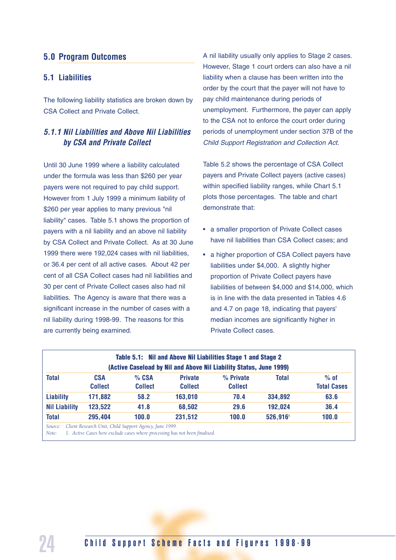#### **5.0 Program Outcomes**

#### **5.1 Liabilities**

The following liability statistics are broken down by CSA Collect and Private Collect.

#### *5.1.1 Nil Liabilities and Above Nil Liabilities by CSA and Private Collect*

Until 30 June 1999 where a liability calculated under the formula was less than \$260 per year payers were not required to pay child support. However from 1 July 1999 a minimum liability of \$260 per year applies to many previous "nil liability" cases. Table 5.1 shows the proportion of payers with a nil liability and an above nil liability by CSA Collect and Private Collect. As at 30 June 1999 there were 192,024 cases with nil liabilities, or 36.4 per cent of all active cases. About 42 per cent of all CSA Collect cases had nil liabilities and 30 per cent of Private Collect cases also had nil liabilities. The Agency is aware that there was a significant increase in the number of cases with a nil liability during 1998-99. The reasons for this are currently being examined.

A nil liability usually only applies to Stage 2 cases. However, Stage 1 court orders can also have a nil liability when a clause has been written into the order by the court that the payer will not have to pay child maintenance during periods of unemployment. Furthermore, the payer can apply to the CSA not to enforce the court order during periods of unemployment under section 37B of the Child Support Registration and Collection Act.

Table 5.2 shows the percentage of CSA Collect payers and Private Collect payers (active cases) within specified liability ranges, while Chart 5.1 plots those percentages. The table and chart demonstrate that:

- a smaller proportion of Private Collect cases have nil liabilities than CSA Collect cases; and
- a higher proportion of CSA Collect payers have liabilities under \$4,000. A slightly higher proportion of Private Collect payers have liabilities of between \$4,000 and \$14,000, which is in line with the data presented in Tables 4.6 and 4.7 on page 18, indicating that payers' median incomes are significantly higher in Private Collect cases.

|                      |                              |                         |                                  | (Active Caseload by Nil and Above Nil Liability Status, June 1999) |              |                              |
|----------------------|------------------------------|-------------------------|----------------------------------|--------------------------------------------------------------------|--------------|------------------------------|
| <b>Total</b>         | <b>CSA</b><br><b>Collect</b> | % CSA<br><b>Collect</b> | <b>Private</b><br><b>Collect</b> | % Private<br><b>Collect</b>                                        | <b>Total</b> | $%$ of<br><b>Total Cases</b> |
| <b>Liability</b>     | 171,882                      | 58.2                    | 163,010                          | 70.4                                                               | 334,892      | 63.6                         |
| <b>Nil Liability</b> | 123,522                      | 41.8                    | 68,502                           | 29.6                                                               | 192,024      | 36.4                         |
| <b>Total</b>         | 295,404                      | 100.0                   | 231,512                          | 100.0                                                              | 526,916      | 100.0                        |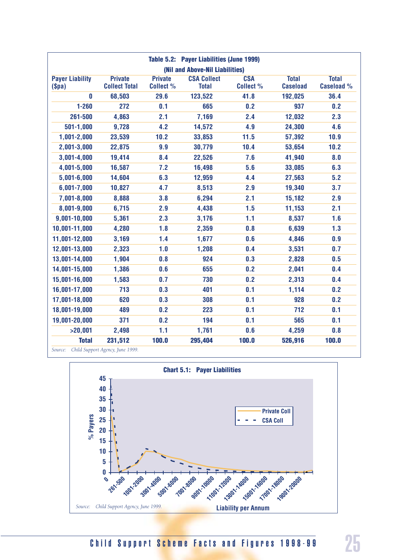|                                 |                                        |                                    | Table 5.2: Payer Liabilities (June 1999) |                                |                                 |                                   |
|---------------------------------|----------------------------------------|------------------------------------|------------------------------------------|--------------------------------|---------------------------------|-----------------------------------|
|                                 |                                        |                                    | (Nil and Above-Nil Liabilities)          |                                |                                 |                                   |
| <b>Payer Liability</b><br>\$pa) | <b>Private</b><br><b>Collect Total</b> | <b>Private</b><br><b>Collect %</b> | <b>CSA Collect</b><br><b>Total</b>       | <b>CSA</b><br><b>Collect %</b> | <b>Total</b><br><b>Caseload</b> | <b>Total</b><br><b>Caseload %</b> |
| 0                               | 68,503                                 | 29.6                               | 123,522                                  | 41.8                           | 192,025                         | 36.4                              |
| $1 - 260$                       | 272                                    | 0.1                                | 665                                      | 0.2                            | 937                             | 0.2                               |
| 261-500                         | 4,863                                  | 2.1                                | 7,169                                    | 2.4                            | 12,032                          | 2.3                               |
| $501 - 1,000$                   | 9,728                                  | 4.2                                | 14,572                                   | 4.9                            | 24,300                          | 4.6                               |
| $1,001 - 2,000$                 | 23,539                                 | 10.2                               | 33,853                                   | 11.5                           | 57,392                          | 10.9                              |
| 2,001-3,000                     | 22,875                                 | 9.9                                | 30,779                                   | 10.4                           | 53,654                          | 10.2                              |
| $3,001 - 4,000$                 | 19,414                                 | 8.4                                | 22,526                                   | 7.6                            | 41,940                          | 8.0                               |
| 4,001-5,000                     | 16,587                                 | 7.2                                | 16,498                                   | 5.6                            | 33,085                          | 6.3                               |
| $5,001 - 6,000$                 | 14,604                                 | 6.3                                | 12,959                                   | 4.4                            | 27,563                          | 5.2                               |
| $6,001 - 7,000$                 | 10,827                                 | 4.7                                | 8,513                                    | 2.9                            | 19,340                          | 3.7                               |
| 7,001-8,000                     | 8,888                                  | 3.8                                | 6,294                                    | 2.1                            | 15,182                          | 2.9                               |
| 8,001-9,000                     | 6,715                                  | 2.9                                | 4,438                                    | 1.5                            | 11,153                          | 2.1                               |
| 9,001-10,000                    | 5,361                                  | 2.3                                | 3,176                                    | 1.1                            | 8,537                           | 1.6                               |
| 10,001-11,000                   | 4,280                                  | 1.8                                | 2,359                                    | 0.8                            | 6,639                           | 1.3                               |
| 11,001-12,000                   | 3,169                                  | 1.4                                | 1,677                                    | 0.6                            | 4,846                           | 0.9                               |
| 12,001-13,000                   | 2,323                                  | 1.0                                | 1,208                                    | 0.4                            | 3,531                           | 0.7                               |
| 13,001-14,000                   | 1,904                                  | 0.8                                | 924                                      | 0.3                            | 2,828                           | 0.5                               |
| 14,001-15,000                   | 1,386                                  | 0.6                                | 655                                      | 0.2                            | 2,041                           | 0.4                               |
| 15,001-16,000                   | 1,583                                  | 0.7                                | 730                                      | 0.2                            | 2,313                           | 0.4                               |
| 16,001-17,000                   | 713                                    | 0.3                                | 401                                      | 0.1                            | 1,114                           | 0.2                               |
| 17,001-18,000                   | 620                                    | 0.3                                | 308                                      | 0.1                            | 928                             | 0.2                               |
| 18,001-19,000                   | 489                                    | 0.2                                | 223                                      | 0.1                            | 712                             | 0.1                               |
| 19,001-20,000                   | 371                                    | 0.2                                | 194                                      | 0.1                            | 565                             | 0.1                               |
| >20,001                         | 2,498                                  | 1.1                                | 1,761                                    | 0.6                            | 4,259                           | 0.8                               |
| <b>Total</b>                    | 231,512                                | 100.0                              | 295,404                                  | 100.0                          | 526,916                         | 100.0                             |
| Source:                         | Child Support Agency, June 1999.       |                                    |                                          |                                |                                 |                                   |



Child Support Scheme Facts and Figures 1998-99 25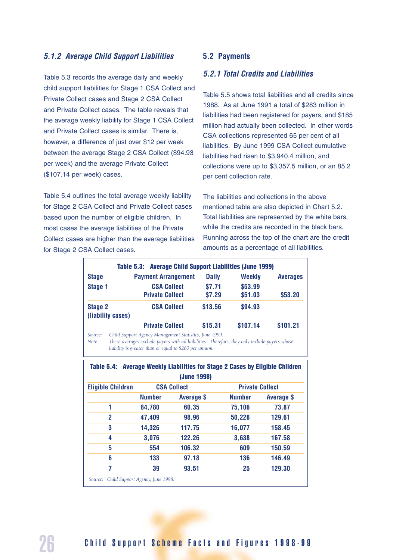#### *5.1.2 Average Child Support Liabilities*

Table 5.3 records the average daily and weekly child support liabilities for Stage 1 CSA Collect and Private Collect cases and Stage 2 CSA Collect and Private Collect cases. The table reveals that the average weekly liability for Stage 1 CSA Collect and Private Collect cases is similar. There is, however, a difference of just over \$12 per week between the average Stage 2 CSA Collect (\$94.93 per week) and the average Private Collect (\$107.14 per week) cases.

Table 5.4 outlines the total average weekly liability for Stage 2 CSA Collect and Private Collect cases based upon the number of eligible children. In most cases the average liabilities of the Private Collect cases are higher than the average liabilities for Stage 2 CSA Collect cases.

#### **5.2 Payments**

#### *5.2.1 Total Credits and Liabilities*

Table 5.5 shows total liabilities and all credits since 1988. As at June 1991 a total of \$283 million in liabilities had been registered for payers, and \$185 million had actually been collected. In other words CSA collections represented 65 per cent of all liabilities. By June 1999 CSA Collect cumulative liabilities had risen to \$3,940.4 million, and collections were up to \$3,357.5 million, or an 85.2 per cent collection rate.

The liabilities and collections in the above mentioned table are also depicted in Chart 5.2. Total liabilities are represented by the white bars, while the credits are recorded in the black bars. Running across the top of the chart are the credit amounts as a percentage of all liabilities.

| <b>Table 5.3: Average Child Support Liabilities (June 1999)</b> |                   |                                                        |              |               |                 |
|-----------------------------------------------------------------|-------------------|--------------------------------------------------------|--------------|---------------|-----------------|
| <b>Stage</b>                                                    |                   | <b>Payment Arrangement</b>                             | <b>Daily</b> | <b>Weekly</b> | <b>Averages</b> |
| <b>Stage 1</b>                                                  |                   | <b>CSA Collect</b>                                     | \$7.71       | \$53.99       |                 |
|                                                                 |                   | <b>Private Collect</b>                                 | \$7.29       | \$51.03       | \$53.20         |
| <b>Stage 2</b>                                                  |                   | <b>CSA Collect</b>                                     | \$13.56      | \$94.93       |                 |
|                                                                 | (liability cases) |                                                        |              |               |                 |
|                                                                 |                   | <b>Private Collect</b>                                 | \$15.31      | \$107.14      | \$101.21        |
| Source:                                                         |                   | Child Support Agency Management Statistics, June 1999. |              |               |                 |

*Note: These averages exclude payers with nil liabilities. Therefore, they only include payers whose liability is greater than or equal to \$260 per annum.*

**Table 5.4: Average Weekly Liabilities for Stage 2 Cases by Eligible Children (June 1998) Eligible Children CSA Collect Collect Private Collect Number Average \$ Number Average \$ 1 84,780 60.35 75,106 73.87 2 47,409 98.96 50,228 129.61 3 14,326 117.75 16,077 158.45 4 3,076 122.26 3,638 167.58 5 554 106.32 609 150.59 6 133 97.18 136 146.49 7 39 93.51 25 129.30** *Source: Child Support Agency, June 1998.*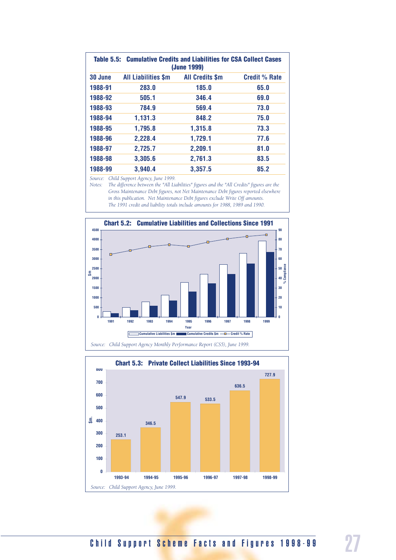| Table 5.5: | <b>Cumulative Credits and Liabilities for CSA Collect Cases</b><br>(June 1999) |                        |                      |  |  |  |
|------------|--------------------------------------------------------------------------------|------------------------|----------------------|--|--|--|
| 30 June    | <b>All Liabilities \$m</b>                                                     | <b>All Credits \$m</b> | <b>Credit % Rate</b> |  |  |  |
| 1988-91    | 283.0                                                                          | 185.0                  | 65.0                 |  |  |  |
| 1988-92    | 505.1                                                                          | 346.4                  | 69.0                 |  |  |  |
| 1988-93    | 784.9                                                                          | 569.4                  | 73.0                 |  |  |  |
| 1988-94    | 1,131.3                                                                        | 848.2                  | 75.0                 |  |  |  |
| 1988-95    | 1,795.8                                                                        | 1,315.8                | 73.3                 |  |  |  |
| 1988-96    | 2,228.4                                                                        | 1,729.1                | 77.6                 |  |  |  |
| 1988-97    | 2,725.7                                                                        | 2,209.1                | 81.0                 |  |  |  |
| 1988-98    | 3,305.6                                                                        | 2,761.3                | 83.5                 |  |  |  |
| 1988-99    | 3,940.4                                                                        | 3,357.5                | 85.2                 |  |  |  |

*Source: Child Support Agency, June 1999.*

*Notes: The difference between the "All Liabilities" figures and the "All Credits" figures are the Gross Maintenance Debt figures, not Net Maintenance Debt figures reported elsewhere in this publication. Net Maintenance Debt figures exclude Write Off amounts. The 1991 credit and liability totals include amounts for 1988, 1989 and 1990.*



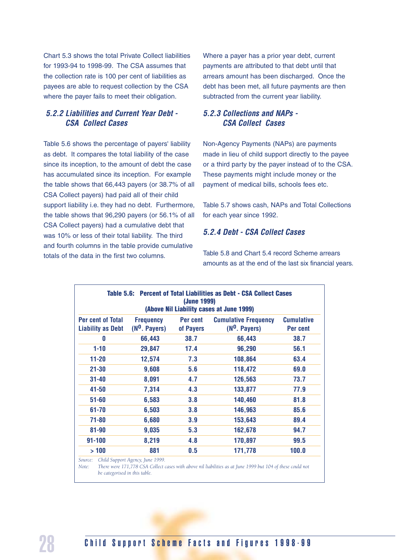Chart 5.3 shows the total Private Collect liabilities for 1993-94 to 1998-99. The CSA assumes that the collection rate is 100 per cent of liabilities as payees are able to request collection by the CSA where the payer fails to meet their obligation.

#### *5.2.2 Liabilities and Current Year Debt - CSA Collect Cases*

Table 5.6 shows the percentage of payers' liability as debt. It compares the total liability of the case since its inception, to the amount of debt the case has accumulated since its inception. For example the table shows that 66,443 payers (or 38.7% of all CSA Collect payers) had paid all of their child support liability i.e. they had no debt. Furthermore, the table shows that 96,290 payers (or 56.1% of all CSA Collect payers) had a cumulative debt that was 10% or less of their total liability. The third and fourth columns in the table provide cumulative totals of the data in the first two columns.

Where a payer has a prior year debt, current payments are attributed to that debt until that arrears amount has been discharged. Once the debt has been met, all future payments are then subtracted from the current year liability.

#### *5.2.3 Collections and NAPs - CSA Collect Cases*

Non-Agency Payments (NAPs) are payments made in lieu of child support directly to the payee or a third party by the payer instead of to the CSA. These payments might include money or the payment of medical bills, schools fees etc.

Table 5.7 shows cash, NAPs and Total Collections for each year since 1992.

#### *5.2.4 Debt - CSA Collect Cases*

Table 5.8 and Chart 5.4 record Scheme arrears amounts as at the end of the last six financial years.

| Table 5.6: Percent of Total Liabilities as Debt - CSA Collect Cases<br>(June 1999)<br>(Above Nil Liability cases at June 1999) |                                     |                       |                                                |                               |  |  |
|--------------------------------------------------------------------------------------------------------------------------------|-------------------------------------|-----------------------|------------------------------------------------|-------------------------------|--|--|
| <b>Per cent of Total</b><br><b>Liability as Debt</b>                                                                           | <b>Frequency</b><br>$(N0$ . Payers) | Per cent<br>of Payers | <b>Cumulative Frequency</b><br>$(N0$ . Payers) | <b>Cumulative</b><br>Per cent |  |  |
| 0                                                                                                                              | 66,443                              | 38.7                  | 66,443                                         | 38.7                          |  |  |
| $1 - 10$                                                                                                                       | 29,847                              | 17.4                  | 96,290                                         | 56.1                          |  |  |
| $11 - 20$                                                                                                                      | 12,574                              | 7.3                   | 108,864                                        | 63.4                          |  |  |
| $21 - 30$                                                                                                                      | 9,608                               | 5.6                   | 118,472                                        | 69.0                          |  |  |
| $31 - 40$                                                                                                                      | 8,091                               | 4.7                   | 126,563                                        | 73.7                          |  |  |
| $41 - 50$                                                                                                                      | 7,314                               | 4.3                   | 133,877                                        | 77.9                          |  |  |
| $51 - 60$                                                                                                                      | 6,583                               | 3.8                   | 140,460                                        | 81.8                          |  |  |
| $61 - 70$                                                                                                                      | 6,503                               | 3.8                   | 146,963                                        | 85.6                          |  |  |
| $71 - 80$                                                                                                                      | 6,680                               | 3.9                   | 153,643                                        | 89.4                          |  |  |
| 81-90                                                                                                                          | 9,035                               | 5.3                   | 162,678                                        | 94.7                          |  |  |
| $91 - 100$                                                                                                                     | 8,219                               | 4.8                   | 170,897                                        | 99.5                          |  |  |
| >100                                                                                                                           | 881                                 | 0.5                   | 171,778                                        | 100.0                         |  |  |

*Source: Child Support Agency, June 1999.*

*Note:* There were 171,778 CSA Collect cases with above nil liabilities as at June 1999 but 104 of these could not *be categorised in this table.*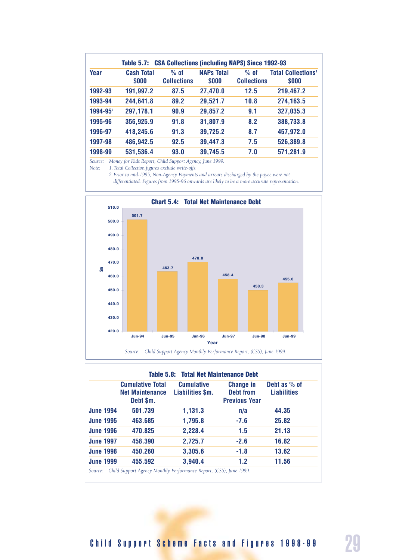| Year          | <b>Cash Total</b><br>\$000 | $%$ of<br><b>Collections</b> | <b>NAPs Total</b><br>\$000 | $%$ of<br><b>Collections</b> | <b>Total Collections<sup>1</sup></b><br>\$000 |
|---------------|----------------------------|------------------------------|----------------------------|------------------------------|-----------------------------------------------|
| 1992-93       | 191,997.2                  | 87.5                         | 27,470.0                   | 12.5                         | 219,467.2                                     |
| 1993-94       | 244,641.8                  | 89.2                         | 29,521.7                   | 10.8                         | 274,163.5                                     |
| $1994 - 95^2$ | 297,178.1                  | 90.9                         | 29,857.2                   | 9.1                          | 327,035.3                                     |
| 1995-96       | 356,925.9                  | 91.8                         | 31,807.9                   | 8.2                          | 388,733.8                                     |
| 1996-97       | 418,245.6                  | 91.3                         | 39,725.2                   | 8.7                          | 457,972.0                                     |
| 1997-98       | 486,942.5                  | 92.5                         | 39,447.3                   | 7.5                          | 526,389.8                                     |
| 1998-99       | 531,536.4                  | 93.0                         | 39,745.5                   | 7.0                          | 571,281.9                                     |

*Source: Money for Kids Report, Child Support Agency, June 1999.*

*Note: 1.Total Collection figures exclude write-offs.*

*2.Prior to mid-1995, Non-Agency Payments and arrears discharged by the payee were not*

*differentiated. Figures from 1995-96 onwards are likely to be a more accurate representation.*



|                  | <b>Cumulative Total</b><br><b>Net Maintenance</b><br>Debt \$m. | <b>Cumulative</b><br>Liabilities \$m. | <b>Change in</b><br><b>Debt from</b><br><b>Previous Year</b> | Debt as % of<br><b>Liabilities</b> |
|------------------|----------------------------------------------------------------|---------------------------------------|--------------------------------------------------------------|------------------------------------|
| <b>June 1994</b> | 501.739                                                        | 1,131.3                               | n/a                                                          | 44.35                              |
| <b>June 1995</b> | 463.685                                                        | 1,795.8                               | $-7.6$                                                       | 25.82                              |
| <b>June 1996</b> | 470.825                                                        | 2,228.4                               | 1.5                                                          | 21.13                              |
| <b>June 1997</b> | 458.390                                                        | 2,725.7                               | $-2.6$                                                       | 16.82                              |
| <b>June 1998</b> | 450.260                                                        | 3,305.6                               | $-1.8$                                                       | 13.62                              |
| <b>June 1999</b> | 455.592                                                        | 3,940.4                               | 1.2                                                          | 11.56                              |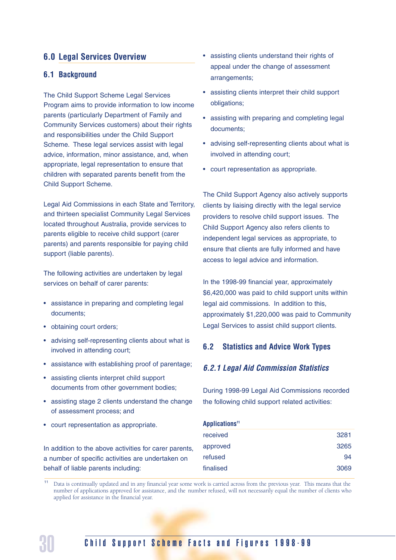#### **6.0 Legal Services Overview**

#### **6.1 Background**

The Child Support Scheme Legal Services Program aims to provide information to low income parents (particularly Department of Family and Community Services customers) about their rights and responsibilities under the Child Support Scheme. These legal services assist with legal advice, information, minor assistance, and, when appropriate, legal representation to ensure that children with separated parents benefit from the Child Support Scheme.

Legal Aid Commissions in each State and Territory, and thirteen specialist Community Legal Services located throughout Australia, provide services to parents eligible to receive child support (carer parents) and parents responsible for paying child support (liable parents).

The following activities are undertaken by legal services on behalf of carer parents:

- assistance in preparing and completing legal documents;
- obtaining court orders;
- advising self-representing clients about what is involved in attending court;
- assistance with establishing proof of parentage;
- assisting clients interpret child support documents from other government bodies;
- assisting stage 2 clients understand the change of assessment process; and
- court representation as appropriate.

In addition to the above activities for carer parents, a number of specific activities are undertaken on behalf of liable parents including:

- assisting clients understand their rights of appeal under the change of assessment arrangements;
- assisting clients interpret their child support obligations;
- assisting with preparing and completing legal documents;
- advising self-representing clients about what is involved in attending court;
- court representation as appropriate.

The Child Support Agency also actively supports clients by liaising directly with the legal service providers to resolve child support issues. The Child Support Agency also refers clients to independent legal services as appropriate, to ensure that clients are fully informed and have access to legal advice and information.

In the 1998-99 financial year, approximately \$6,420,000 was paid to child support units within legal aid commissions. In addition to this, approximately \$1,220,000 was paid to Community Legal Services to assist child support clients.

#### **6.2 Statistics and Advice Work Types**

#### *6.2.1 Legal Aid Commission Statistics*

During 1998-99 Legal Aid Commissions recorded the following child support related activities:

| Applications <sup>11</sup> |      |
|----------------------------|------|
| received                   | 3281 |
| approved                   | 3265 |
| refused                    | 94   |
| finalised                  | 3069 |

<sup>11</sup> Data is continually updated and in any financial year some work is carried across from the previous year. This means that the number of applications approved for assistance, and the number refused, will not necessarily equal the number of clients who applied for assistance in the financial year.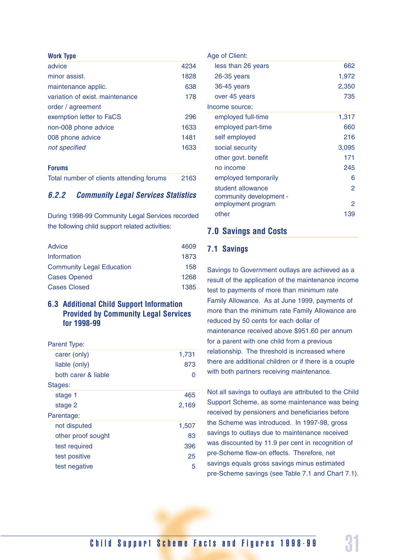| <b>Work Type</b>                |      |
|---------------------------------|------|
| advice                          | 4234 |
| minor assist.                   | 1828 |
| maintenance applic.             | 638  |
| variation of exist, maintenance | 178  |
| order / agreement               |      |
| exemption letter to FaCS        | 296  |
| non-008 phone advice            | 1633 |
| 008 phone advice                | 1481 |
| not specified                   | 1633 |
|                                 |      |

#### **Forums**

|  |  |  |  | Total number of clients attending forums |  | 2163 |
|--|--|--|--|------------------------------------------|--|------|
|--|--|--|--|------------------------------------------|--|------|

#### *6.2.2 Community Legal Services Statistics*

During 1998-99 Community Legal Services recorded the following child support related activities:

| Advice                           | 4609 |
|----------------------------------|------|
| Information                      | 1873 |
| <b>Community Legal Education</b> | 158  |
| <b>Cases Opened</b>              | 1268 |
| <b>Cases Closed</b>              | 1385 |

#### **6.3 Additional Child Support Information Provided by Community Legal Services for 1998-99**

| Parent Type:        |       |
|---------------------|-------|
| carer (only)        | 1,731 |
| liable (only)       | 873   |
| both carer & liable | 0     |
| Stages:             |       |
| stage 1             | 465   |
| stage 2             | 2,169 |
| Parentage:          |       |
| not disputed        | 1,507 |
| other proof sought  | 83    |
| test required       | 396   |
| test positive       | 25    |
| test negative       | 5     |
|                     |       |

#### Age of Client: less than 26 years 662 26-35 years 1,972 36-45 years 2,350 over 45 years 735 Income source: employed full-time 1,317 employed part-time 660 self employed 216 social security 3,095 other govt. benefit 171 no income 245 employed temporarily 6 student allowance 2 community development employment program 2 other 139

#### **7.0 Savings and Costs**

#### **7.1 Savings**

Savings to Government outlays are achieved as a result of the application of the maintenance income test to payments of more than minimum rate Family Allowance. As at June 1999, payments of more than the minimum rate Family Allowance are reduced by 50 cents for each dollar of maintenance received above \$951.60 per annum for a parent with one child from a previous relationship. The threshold is increased where there are additional children or if there is a couple with both partners receiving maintenance.

Not all savings to outlays are attributed to the Child Support Scheme, as some maintenance was being received by pensioners and beneficiaries before the Scheme was introduced. In 1997-98, gross savings to outlays due to maintenance received was discounted by 11.9 per cent in recognition of pre-Scheme flow-on effects. Therefore, net savings equals gross savings minus estimated pre-Scheme savings (see Table 7.1 and Chart 7.1).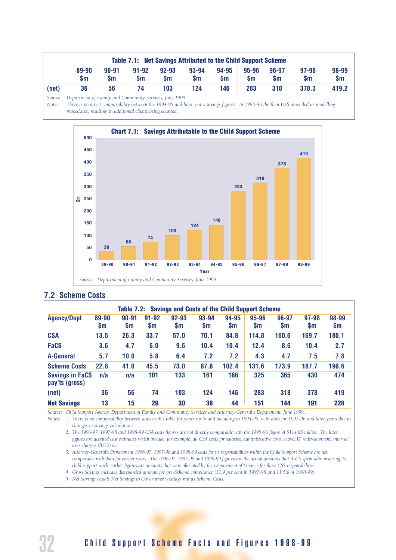|         |                                                        |                        |                        |                  | <b>Table 7.1: Net Savings Attributed to the Child Support Scheme</b> |                    |                    |                    |                            |                    |
|---------|--------------------------------------------------------|------------------------|------------------------|------------------|----------------------------------------------------------------------|--------------------|--------------------|--------------------|----------------------------|--------------------|
|         | 89-90<br>$\mathsf{sm}$                                 | $90 - 91$<br><b>Sm</b> | $91 - 92$<br><b>Sm</b> | $92 - 93$<br>\$m | $93 - 94$<br><b>Sm</b>                                               | 94-95<br><b>Sm</b> | 95-96<br><b>Sm</b> | 96-97<br><b>Sm</b> | $97 - 98$<br>$\mathsf{sm}$ | 98-99<br><b>Sm</b> |
| (net)   | 36                                                     | 56                     | 74                     | 103              | 124                                                                  | 146                | 283                | 318                | 378.3                      | 419.2              |
| Source: | Denartment of Family and Community Services, June 1999 |                        |                        |                  |                                                                      |                    |                    |                    |                            |                    |

*Source: Department of Family and Community Services, June 1999.*

*Notes: There is no direct comparability between the 1994-95 and later years savings figures. In 1995-96 the then DSS amended its modelling procedures, resulting in additional clients being counted.*



#### **7.2 Scheme Costs**

| <b>Agency/Dept</b>                       | 89-90<br>\$m | $90 - 91$<br><b>Sm</b> | $91 - 92$<br>\$m | $92 - 93$<br>$\mathsf{sm}$ | 93-94<br>\$m | 94-95<br><b>Sm</b> | 95-96<br><b>Sm</b> | 96-97<br><b>Sm</b> | 97-98<br><b>Sm</b> | 98-99<br>$\mathsf{sm}$ |
|------------------------------------------|--------------|------------------------|------------------|----------------------------|--------------|--------------------|--------------------|--------------------|--------------------|------------------------|
| <b>CSA</b>                               | 13.5         | 26.3                   | 33.7             | 57.0                       | 70.1         | 84.8               | 114.8              | 160.6              | 169.7              | 180.1                  |
| <b>FaCS</b>                              | 3.6          | 4.7                    | 6.0              | 9.6                        | 10.4         | 10.4               | 12.4               | 8.6                | 10.4               | 2.7                    |
| <b>A-General</b>                         | 5.7          | 10.0                   | 5.8              | 6.4                        | 7.2          | 7.2                | 4.3                | 4.7                | 7.5                | 7.8                    |
| <b>Scheme Costs</b>                      | 22.8         | 41.0                   | 45.5             | 73.0                       | 87.8         | 102.4              | 131.6              | 173.9              | 187.7              | 190.6                  |
| <b>Savings in FaCS</b><br>pay'ts (gross) | n/a          | n/a                    | 101              | 133                        | 161          | 186                | 325                | 365                | 430                | 474                    |
| (net)                                    | 36           | 56                     | 74               | 103                        | 124          | 146                | 283                | 318                | 378                | 419                    |
| <b>Net Savings</b>                       | 13           | 15                     | 29               | 30                         | 36           | 44                 | 151                | 144                | 191                | 228                    |

*Source: Child Support Agency, Department of Family and Community Services and Attorney-General's Department, June 1999.*

*Notes: 1. There is no comparability between data in this table for years up to and including to 1994-95, with data for 1995-96 and later years due to changes in savings calculations.*

*2. The 1996-97, 1997-98 and 1998-99 CSA costs figures are not directly comparable with the 1995-96 figure of \$114.85 million. The later figures are accrued cost estimates which include, for example, all CSA costs for salaries, administrative costs, leave, IT redevelopment, internal user charges (IUCs) etc.*

*3. Attorney-General's Department 1996-97, 1997-98 and 1998-99 costs for its responsibilities within the Child Support Scheme are not comparable with data for earlier years. The 1996-97, 1997-98 and 1998-99 figures are the actual amounts that A-G's spent administering its child support work: earlier figures are amounts that were allocated by the Department of Finance for those CSS responsibilities.*

*4 Gross Savings includes disregarded amount for pre-Scheme compliance (11.9 per cent in 1997-98 and 11.5% in 1998-99).*

*5 Net Savings equals Net Savings to Government outlays minus Scheme Costs.*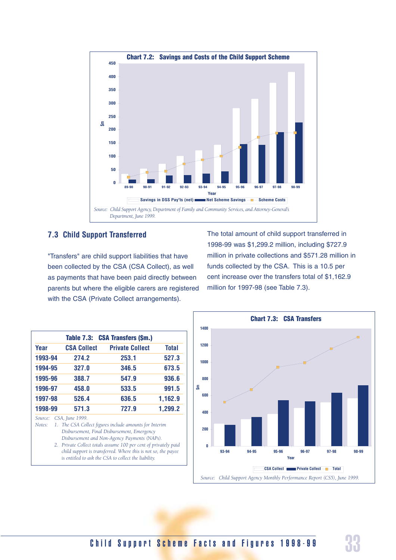

#### **7.3 Child Support Transferred**

"Transfers" are child support liabilities that have been collected by the CSA (CSA Collect), as well as payments that have been paid directly between parents but where the eligible carers are registered with the CSA (Private Collect arrangements).

The total amount of child support transferred in 1998-99 was \$1,299.2 million, including \$727.9 million in private collections and \$571.28 million in funds collected by the CSA. This is a 10.5 per cent increase over the transfers total of \$1,162.9 million for 1997-98 (see Table 7.3).

|                   |                    | Table 7.3: CSA Transfers (\$m.)                                                                                                                                                                                                                                                                                                                   |              |
|-------------------|--------------------|---------------------------------------------------------------------------------------------------------------------------------------------------------------------------------------------------------------------------------------------------------------------------------------------------------------------------------------------------|--------------|
| Year              | <b>CSA Collect</b> | <b>Private Collect</b>                                                                                                                                                                                                                                                                                                                            | <b>Total</b> |
| 1993-94           | 274.2              | 253.1                                                                                                                                                                                                                                                                                                                                             | 527.3        |
| 1994-95           | 327.0              | 346.5                                                                                                                                                                                                                                                                                                                                             | 673.5        |
| 1995-96           | 388.7              | 547.9                                                                                                                                                                                                                                                                                                                                             | 936.6        |
| 1996-97           | 458.0              | 533.5                                                                                                                                                                                                                                                                                                                                             | 991.5        |
| 1997-98           | 526.4              | 636.5                                                                                                                                                                                                                                                                                                                                             | 1,162.9      |
| 1998-99           | 571.3              | 727.9                                                                                                                                                                                                                                                                                                                                             | 1,299.2      |
| Source:<br>Notes: | CSA, June 1999.    | 1. The CSA Collect figures include amounts for Interim<br>Disbursement, Final Disbursement, Emergency<br>Disbursement and Non-Agency Payments (NAPs).<br>2. Private Collect totals assume 100 per cent of privately paid<br>child support is transferred. Where this is not so, the payee<br>is entitled to ask the CSA to collect the liability. |              |

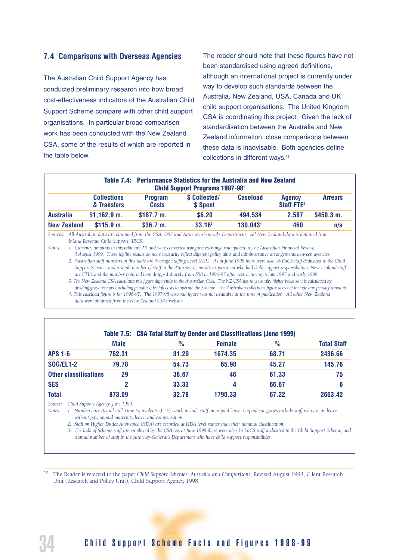#### **7.4 Comparisons with Overseas Agencies**

The Australian Child Support Agency has conducted preliminary research into how broad cost-effectiveness indicators of the Australian Child Support Scheme compare with other child support organisations. In particular broad comparison work has been conducted with the New Zealand CSA, some of the results of which are reported in the table below.

The reader should note that these figures have not been standardised using agreed definitions, although an international project is currently under way to develop such standards between the Australia, New Zealand, USA, Canada and UK child support organisations. The United Kingdom CSA is coordinating this project. Given the lack of standardisation between the Australia and New Zealand information, close comparisons between these data is inadvisable. Both agencies define collections in different ways.12

|                    |                                   |                                | Table 7.4: Performance Statistics for the Australia and New Zealand<br><b>Child Support Programs 1997-981</b> |                 |                                         |                |
|--------------------|-----------------------------------|--------------------------------|---------------------------------------------------------------------------------------------------------------|-----------------|-----------------------------------------|----------------|
|                    | <b>Collections</b><br>& Transfers | <b>Program</b><br><b>Costs</b> | \$ Collected/<br>\$ Spent                                                                                     | <b>Caseload</b> | <b>Agency</b><br>Staff FTE <sup>2</sup> | <b>Arrears</b> |
| <b>Australia</b>   | $$1,162.9$ m.                     | \$187.7 m.                     | \$6.20                                                                                                        | 494,534         | 2.587                                   | \$450.3 m.     |
| <b>New Zealand</b> | \$115.9 m.                        | \$36.7 m.                      | $$3.16^3$                                                                                                     | 130,0434        | 460                                     | n/a            |

*Sources: All Australian data are obtained from the CSA, DSS and Attorney-General's Department. All New Zealand data is obtained from Inland Revenue Child Support (IRCS).*

*Notes: 1. Currency amounts in this table are A\$ and were converted using the exchange rate quoted in The Australian Financial Review,* 

*3 August 1999. These topline results do not necessarily reflect different policy aims and administrative arrangements between agencies. 2. Australian staff numbers in this table are Average Staffing Level (ASL). As at June 1998 there were also 16 FaCS staff dedicated to the Child Support Scheme, and a small number of staff in the Attorney-General's Department who had child support responsibilities. New Zealand staff are FTE's and the number reported here dropped sharply from 558 in 1996-97 after restructuring in late 1997 and early 1998.* 

*3. The New Zealand CSA calculates this figure differently to the Australian CSA. The NZ CSA figure is usually higher because it is calculated by dividing gross receipts (including penalties) by full costs to operate the Scheme. The Australian collections figure does not include any penalty amounts.*

*4. This caseload figure is for 1996-97. The 1997-98 caseload figure was not available at the time of publication. All other New Zealand data were obtained from the New Zealand CSA's website.*

|                              |             | Table 7.5: CSA Total Staff by Gender and Classifications (June 1999) |               |               |                    |
|------------------------------|-------------|----------------------------------------------------------------------|---------------|---------------|--------------------|
|                              | <b>Male</b> | $\%$                                                                 | <b>Female</b> | $\frac{9}{6}$ | <b>Total Staff</b> |
| <b>APS 1-6</b>               | 762.31      | 31.29                                                                | 1674.35       | 68.71         | 2436.66            |
| <b>SOG/EL1-2</b>             | 79.78       | 54.73                                                                | 65.98         | 45.27         | 145.76             |
| <b>Other classifications</b> | 29          | 38.67                                                                | 46            | 61.33         | 75                 |
| <b>SES</b>                   | 2           | 33.33                                                                | 4             | 66.67         | 6                  |
| <b>Total</b>                 | 873.09      | 32.78                                                                | 1790.33       | 67.22         | 2663.42            |

*Source: Child Support Agency, June 1999.*

*Notes: 1. Numbers are Actual Full Time Equivalents (FTE) which include staff on unpaid leave. Unpaid categories include staff who are on leave without pay, unpaid maternity leave, and compensation.* 

*2. Staff on Higher Duties Allowance (HDA) are recorded at HDA level rather than their nominal classification.*

*3. The bulk of Scheme staff are employed by the CSA. As at June 1998 there were also 16 FaCS staff dedicated to the Child Support Scheme, and a small number of staff in the Attorney-General's Department who have child support responsibilities.*

<sup>12</sup> The Reader is referred to the paper *Child Support Schemes: Australia and Comparisons*, Revised August 1998, Client Research Unit (Research and Policy Unit), Child Support Agency, 1998.

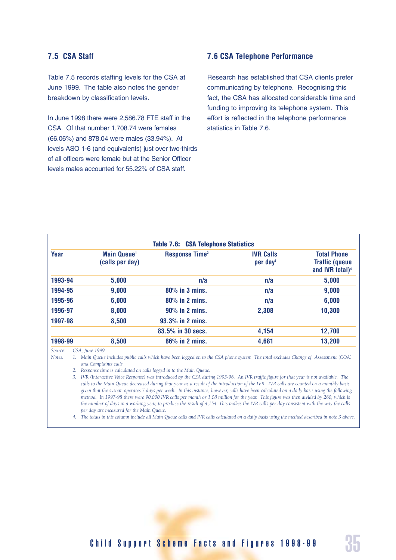#### **7.5 CSA Staff**

Table 7.5 records staffing levels for the CSA at June 1999. The table also notes the gender breakdown by classification levels.

In June 1998 there were 2,586.78 FTE staff in the CSA. Of that number 1,708.74 were females (66.06%) and 878.04 were males (33.94%). At levels ASO 1-6 (and equivalents) just over two-thirds of all officers were female but at the Senior Officer levels males accounted for 55.22% of CSA staff.

#### **7.6 CSA Telephone Performance**

Research has established that CSA clients prefer communicating by telephone. Recognising this fact, the CSA has allocated considerable time and funding to improving its telephone system. This effort is reflected in the telephone performance statistics in Table 7.6.

| Year    | <b>Main Queue<sup>1</sup></b><br>(calls per day) | <b>Response Time<sup>2</sup></b> | <b>IVR Calls</b><br>per day <sup>3</sup> | <b>Total Phone</b><br><b>Traffic (queue</b><br>and IVR total) <sup>4</sup> |
|---------|--------------------------------------------------|----------------------------------|------------------------------------------|----------------------------------------------------------------------------|
| 1993-94 | 5,000                                            | n/a                              | n/a                                      | 5,000                                                                      |
| 1994-95 | 9,000                                            | $80\%$ in 3 mins.                | n/a                                      | 9,000                                                                      |
| 1995-96 | 6,000                                            | 80% in 2 mins.                   | n/a                                      | 6,000                                                                      |
| 1996-97 | 8,000                                            | $90\%$ in 2 mins.                | 2,308                                    | 10,300                                                                     |
| 1997-98 | 8,500                                            | 93.3% in 2 mins.                 |                                          |                                                                            |
|         |                                                  | 83.5% in 30 secs.                | 4,154                                    | 12,700                                                                     |
| 1998-99 | 8,500                                            | $86\%$ in 2 mins.                | 4,681                                    | 13,200                                                                     |

*Source: CSA, June 1999.*

*Notes: 1. Main Queue includes public calls which have been logged on to the CSA phone system. The total excludes Change of Assessment (COA) and Complaints calls.*

*2. Response time is calculated on calls logged in to the Main Queue.*

*3. IVR (Interactive Voice Response) was introduced by the CSA during 1995-96. An IVR traffic figure for that year is not available. The calls to the Main Queue decreased during that year as a result of the introduction of the IVR. IVR calls are counted on a monthly basis given that the system operates 7 days per week. In this instance, however, calls have been calculated on a daily basis using the following method. In 1997-98 there were 90,000 IVR calls per month or 1.08 million for the year. This figure was then divided by 260, which is the number of days in a working year, to produce the result of 4,154. This makes the IVR calls per day consistent with the way the calls per day are measured for the Main Queue.*

*4. The totals in this column include all Main Queue calls and IVR calls calculated on a daily basis using the method described in note 3 above.*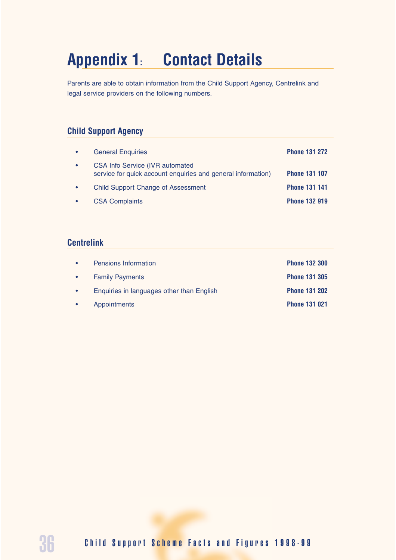# **Appendix 1: Contact Details**

Parents are able to obtain information from the Child Support Agency, Centrelink and legal service providers on the following numbers.

## **Child Support Agency**

| <b>General Enquiries</b>                                                                               | <b>Phone 131 272</b> |
|--------------------------------------------------------------------------------------------------------|----------------------|
| <b>CSA Info Service (IVR automated</b><br>service for quick account enquiries and general information) | <b>Phone 131 107</b> |
| <b>Child Support Change of Assessment</b>                                                              | <b>Phone 131 141</b> |
| <b>CSA Complaints</b>                                                                                  | <b>Phone 132 919</b> |

#### **Centrelink**

| Pensions Information                      | <b>Phone 132 300</b> |
|-------------------------------------------|----------------------|
| <b>Family Payments</b>                    | <b>Phone 131 305</b> |
| Enquiries in languages other than English | <b>Phone 131 202</b> |
| Appointments                              | <b>Phone 131 021</b> |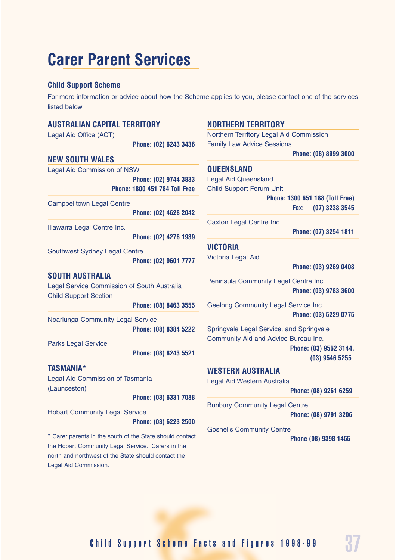# **Carer Parent Services**

### **Child Support Scheme**

For more information or advice about how the Scheme applies to you, please contact one of the services listed below.

| <b>AUSTRALIAN CAPITAL TERRITORY</b>                                         |                                                               | <b>NORTHERN TERRITORY</b>                                      |                                            |
|-----------------------------------------------------------------------------|---------------------------------------------------------------|----------------------------------------------------------------|--------------------------------------------|
| Legal Aid Office (ACT)                                                      |                                                               | Northern Territory Legal Aid Commission                        |                                            |
|                                                                             | Phone: (02) 6243 3436                                         | <b>Family Law Advice Sessions</b>                              |                                            |
| <b>NEW SOUTH WALES</b>                                                      |                                                               |                                                                | Phone: (08) 8999 3000                      |
| <b>Legal Aid Commission of NSW</b>                                          |                                                               | <b>QUEENSLAND</b>                                              |                                            |
|                                                                             | Phone: (02) 9744 3833<br><b>Phone: 1800 451 784 Toll Free</b> | <b>Legal Aid Queensland</b><br><b>Child Support Forum Unit</b> |                                            |
|                                                                             |                                                               |                                                                | Phone: 1300 651 188 (Toll Free)            |
| <b>Campbelltown Legal Centre</b>                                            | Phone: (02) 4628 2042                                         |                                                                | $(07)$ 3238 3545<br>Fax:                   |
| Illawarra Legal Centre Inc.                                                 |                                                               | Caxton Legal Centre Inc.                                       |                                            |
|                                                                             | Phone: (02) 4276 1939                                         |                                                                | Phone: (07) 3254 1811                      |
|                                                                             |                                                               | <b>VICTORIA</b>                                                |                                            |
| Southwest Sydney Legal Centre                                               | Phone: (02) 9601 7777                                         | Victoria Legal Aid                                             |                                            |
|                                                                             |                                                               |                                                                | Phone: (03) 9269 0408                      |
| <b>SOUTH AUSTRALIA</b>                                                      |                                                               | Peninsula Community Legal Centre Inc.                          |                                            |
| Legal Service Commission of South Australia<br><b>Child Support Section</b> |                                                               |                                                                | Phone: (03) 9783 3600                      |
|                                                                             | Phone: (08) 8463 3555                                         | Geelong Community Legal Service Inc.                           |                                            |
| Noarlunga Community Legal Service                                           |                                                               |                                                                | Phone: (03) 5229 0775                      |
|                                                                             | Phone: (08) 8384 5222                                         | Springvale Legal Service, and Springvale                       |                                            |
| <b>Parks Legal Service</b>                                                  | Phone: (08) 8243 5521                                         | Community Aid and Advice Bureau Inc.                           | Phone: (03) 9562 3144,<br>$(03)$ 9546 5255 |
| <b>TASMANIA*</b>                                                            |                                                               | <b>WESTERN AUSTRALIA</b>                                       |                                            |
| Legal Aid Commission of Tasmania                                            |                                                               | Legal Aid Western Australia                                    |                                            |
| (Launceston)                                                                | Phone: (03) 6331 7088                                         |                                                                | Phone: (08) 9261 6259                      |
|                                                                             |                                                               | <b>Bunbury Community Legal Centre</b>                          |                                            |
| <b>Hobart Community Legal Service</b>                                       | Phone: (03) 6223 2500                                         |                                                                | Phone: (08) 9791 3206                      |
| * Carer parents in the south of the State should contact                    |                                                               | <b>Gosnells Community Centre</b>                               |                                            |
| the Hobart Community Legal Service. Carers in the                           |                                                               |                                                                | Phone (08) 9398 1455                       |
| north and northwest of the State should contact the                         |                                                               |                                                                |                                            |
| Legal Aid Commission.                                                       |                                                               |                                                                |                                            |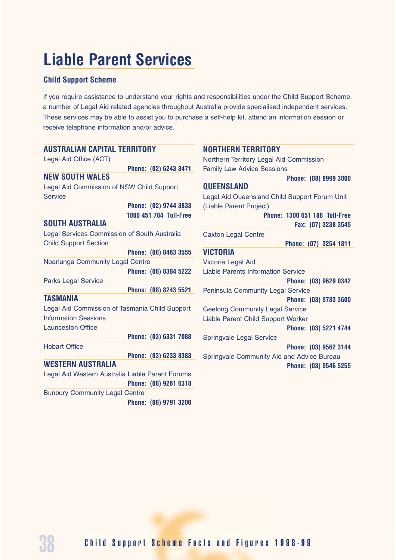# **Liable Parent Services**

#### **Child Support Scheme**

If you require assistance to understand your rights and responsibilities under the Child Support Scheme, a number of Legal Aid related agencies throughout Australia provide specialised independent services. These services may be able to assist you to purchase a self-help kit, attend an information session or receive telephone information and/or advice.

| <b>AUSTRALIAN CAPITAL TERRITORY</b>              | <b>NORTHERN TERRITORY</b>                     |
|--------------------------------------------------|-----------------------------------------------|
| Legal Aid Office (ACT)                           | Northern Territory Legal Aid Commission       |
| Phone: (02) 6243 3471                            | <b>Family Law Advice Sessions</b>             |
| <b>NEW SOUTH WALES</b>                           | Phone: (08) 8999 3000                         |
| Legal Aid Commission of NSW Child Support        | <b>QUEENSLAND</b>                             |
| <b>Service</b>                                   | Legal Aid Queensland Child Support Forum Unit |
| Phone: (02) 9744 3833                            | (Liable Parent Project)                       |
| 1800 451 784 Toll-Free                           | <b>Phone: 1300 651 188 Toll-Free</b>          |
| <b>SOUTH AUSTRALIA</b>                           | Fax: (07) 3238 3545                           |
| Legal Services Commission of South Australia     | <b>Caxton Legal Centre</b>                    |
| <b>Child Support Section</b>                     | Phone: (07) 3254 1811                         |
| Phone: (08) 8463 3555                            | <b>VICTORIA</b>                               |
| Noarlunga Community Legal Centre                 | Victoria Legal Aid                            |
| Phone: (08) 8384 5222                            | <b>Liable Parents Information Service</b>     |
| <b>Parks Legal Service</b>                       | Phone: (03) 9629 0342                         |
| Phone: (08) 8243 5521                            | <b>Peninsula Community Legal Service</b>      |
| <b>TASMANIA</b>                                  | Phone: (03) 9783 3600                         |
| Legal Aid Commission of Tasmania Child Support   | <b>Geelong Community Legal Service</b>        |
| <b>Information Sessions</b>                      | Liable Parent Child Support Worker            |
| <b>Launceston Office</b>                         | Phone: (03) 5221 4744                         |
| Phone: (03) 6331 7088                            | <b>Springvale Legal Service</b>               |
| <b>Hobart Office</b>                             | Phone: (03) 9562 3144                         |
| Phone: (03) 6233 8383                            | Springvale Community Aid and Advice Bureau    |
| <b>WESTERN AUSTRALIA</b>                         | Phone: (03) 9546 5255                         |
| Legal Aid Western Australia Liable Parent Forums |                                               |
| Phone: (08) 9261 6318                            |                                               |
| <b>Bunbury Community Legal Centre</b>            |                                               |
| Phone: (08) 9791 3206                            |                                               |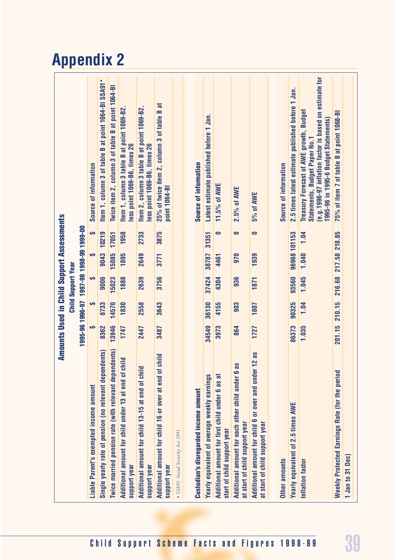# **Appendix 2**

|                                                                                              |        |        | <b>Amounts Used in Child Support Assessments</b> |               |           |                                                                                                                                                                                   |
|----------------------------------------------------------------------------------------------|--------|--------|--------------------------------------------------|---------------|-----------|-----------------------------------------------------------------------------------------------------------------------------------------------------------------------------------|
|                                                                                              |        |        | <b>Child Support Year</b>                        |               |           |                                                                                                                                                                                   |
|                                                                                              |        |        | 1995-96 1996-7 1997-98 1998-999-00               |               |           |                                                                                                                                                                                   |
| Liable Parent's exempted income amount                                                       | မာ     | Ø      | Ø                                                | Ø             | မာ        | Source of information                                                                                                                                                             |
| Single yearly rate of pension (no relevant dependents)                                       | 8362   | 8733   | 9006                                             | 9043          | 10219     | Item 1, column 3 of table B at point 1064-BI SSA91*                                                                                                                               |
| Twice married pension rate (with relevant dependents)                                        | 13946  | 14570  | 15023                                            | 15085         | 17051     | Twice item 2, column 3 of table B at point 1064-BI                                                                                                                                |
| child<br>Additional amount for child under 13 at end of<br>support year                      | 1747   | 1830   | 1888                                             | 1895          | 1958      | Item 1, column 3 table B at point 1069-B2.<br>less point 1069-B6, times 26                                                                                                        |
| $\overline{\phantom{a}}$<br>Additional amount for child 13-15 at end of chil<br>support year | 2447   | 2558   | 2639                                             | 2649          | 2733      | Item 2, column 3 table B at point 1069-B2,<br>less point 1069-B6, times 26                                                                                                        |
| child<br>Additional amount for child 16 or over at end of<br>support year                    | 3487   | 3643   | 3756                                             | 3771          | 3875      | ನ<br>25% of twice item 2, column 3 of table B<br>point 1064-BI                                                                                                                    |
| · SSA91: Social Security Act 1991                                                            |        |        |                                                  |               |           |                                                                                                                                                                                   |
|                                                                                              |        |        |                                                  |               |           |                                                                                                                                                                                   |
| <b>Custodian's disregarded income amount</b>                                                 |        |        |                                                  |               |           | Source of information                                                                                                                                                             |
| Yearly equivalent of average weekly earnings                                                 | 34549  | 36130  | 37424                                            | 38787         | 31351     | Latest estimate published before 1 Jan.                                                                                                                                           |
| Additional amount for first child under 6 as at<br>start of child support year               | 3973   | 4155   | 4304                                             | 4461          | $\bullet$ | 11.5% of AWE                                                                                                                                                                      |
| Sp<br>Additional amount for each other child under 6<br>at start of child support year       | 864    | 903    | 936                                              | 970           | $\bullet$ | 2.5% of AWE                                                                                                                                                                       |
| Additional amount for child 6 or over and under 12 as<br>at start of child support year      | 1727   | 1807   | 1871                                             | 1939          | $\bullet$ | 5% of AWE                                                                                                                                                                         |
|                                                                                              |        |        |                                                  |               |           |                                                                                                                                                                                   |
| Other amounts                                                                                |        |        |                                                  |               |           | Source of information                                                                                                                                                             |
| Yearly equivalent of 2.5 times AWE                                                           | 86373  | 90325  | 93560                                            | 96968 101153  |           | 2.5 times latest estimate published before 1 Jan.                                                                                                                                 |
| Inflation factor                                                                             | 1.035  | 1.04   | 1.045                                            | 1.040         | 1.04      | (e.g.1996-97 inflation factor is based on estimate for<br>Treasury Forecast of AWE growth, Budget<br>1995-96 in 1995-6 Budget Statements)<br><b>Statements, Budget Paper No.1</b> |
| <b>Weekly Protected Earnings Rate (for the period</b>                                        | 201.15 | 210.15 | 216.68                                           | 217.58 218.85 |           | 75% of item 7 of table B at point 1068-BI                                                                                                                                         |
| 1 Jan to 31 Dec)                                                                             |        |        |                                                  |               |           |                                                                                                                                                                                   |